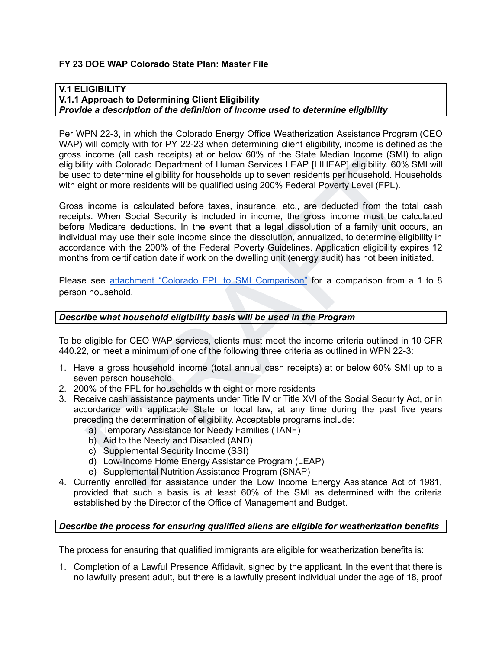# **FY 23 DOE WAP Colorado State Plan: Master File**

#### **V.1 ELIGIBILITY V.1.1 Approach to Determining Client Eligibility** *Provide a description of the definition of income used to determine eligibility*

Per WPN 22-3, in which the Colorado Energy Office Weatherization Assistance Program (CEO WAP) will comply with for PY 22-23 when determining client eligibility, income is defined as the gross income (all cash receipts) at or below 60% of the State Median Income (SMI) to align eligibility with Colorado Department of Human Services LEAP [LIHEAP] eligibility. 60% SMI will be used to determine eligibility for households up to seven residents per household. Households with eight or more residents will be qualified using 200% Federal Poverty Level (FPL).

income (all casar receipts) at or bealow ou<sup>x</sup> or or beals weaver an incometer (swit) to angle the state of the state of the state of the determine eligibility. 60% SMI will<br>ty with Colorado Department of Human Services LE Gross income is calculated before taxes, insurance, etc., are deducted from the total cash receipts. When Social Security is included in income, the gross income must be calculated before Medicare deductions. In the event that a legal dissolution of a family unit occurs, an individual may use their sole income since the dissolution, annualized, to determine eligibility in accordance with the 200% of the Federal Poverty Guidelines. Application eligibility expires 12 months from certification date if work on the dwelling unit (energy audit) has not been initiated.

Please see attachment "Colorado FPL to SMI Comparison" for a comparison from a 1 to 8 person household.

### *Describe what household eligibility basis will be used in the Program*

To be eligible for CEO WAP services, clients must meet the income criteria outlined in 10 CFR 440.22, or meet a minimum of one of the following three criteria as outlined in WPN 22-3:

- 1. Have a gross household income (total annual cash receipts) at or below 60% SMI up to a seven person household
- 2. 200% of the FPL for households with eight or more residents
- 3. Receive cash assistance payments under Title IV or Title XVI of the Social Security Act, or in accordance with applicable State or local law, at any time during the past five years preceding the determination of eligibility. Acceptable programs include:
	- a) Temporary Assistance for Needy Families (TANF)
	- b) Aid to the Needy and Disabled (AND)
	- c) Supplemental Security Income (SSI)
	- d) Low-Income Home Energy Assistance Program (LEAP)
	- e) Supplemental Nutrition Assistance Program (SNAP)
- 4. Currently enrolled for assistance under the Low Income Energy Assistance Act of 1981, provided that such a basis is at least 60% of the SMI as determined with the criteria established by the Director of the Office of Management and Budget.

### *Describe the process for ensuring qualified aliens are eligible for weatherization benefits*

The process for ensuring that qualified immigrants are eligible for weatherization benefits is:

1. Completion of a Lawful Presence Affidavit, signed by the applicant. In the event that there is no lawfully present adult, but there is a lawfully present individual under the age of 18, proof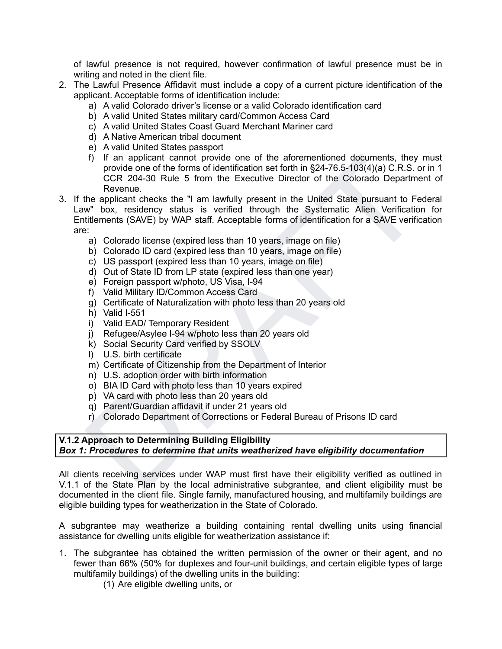of lawful presence is not required, however confirmation of lawful presence must be in writing and noted in the client file.

- 2. The Lawful Presence Affidavit must include a copy of a current picture identification of the applicant. Acceptable forms of identification include:
	- a) A valid Colorado driver's license or a valid Colorado identification card
	- b) A valid United States military card/Common Access Card
	- c) A valid United States Coast Guard Merchant Mariner card
	- d) A Native American tribal document
	- e) A valid United States passport
	- f) If an applicant cannot provide one of the aforementioned documents, they must provide one of the forms of identification set forth in §24-76.5-103(4)(a) C.R.S. or in 1 CCR 204-30 Rule 5 from the Executive Director of the Colorado Department of Revenue.
- f) an applicant cannot provide one of the aforementioned documents, they must<br>grovide one of the forms of identification set forth in §24-76.5-103(4)(a) C.R.S. or in 1<br>CCR. 204-30 Rule 5 from the Executive Director of the 3. If the applicant checks the "I am lawfully present in the United State pursuant to Federal Law" box, residency status is verified through the Systematic Alien Verification for Entitlements (SAVE) by WAP staff. Acceptable forms of identification for a SAVE verification are:
	- a) Colorado license (expired less than 10 years, image on file)
	- b) Colorado ID card (expired less than 10 years, image on file)
	- c) US passport (expired less than 10 years, image on file)
	- d) Out of State ID from LP state (expired less than one year)
	- e) Foreign passport w/photo, US Visa, I-94
	- f) Valid Military ID/Common Access Card
	- g) Certificate of Naturalization with photo less than 20 years old
	- h) Valid I-551
	- i) Valid EAD/ Temporary Resident
	- j) Refugee/Asylee I-94 w/photo less than 20 years old
	- k) Social Security Card verified by SSOLV
	- l) U.S. birth certificate
	- m) Certificate of Citizenship from the Department of Interior
	- n) U.S. adoption order with birth information
	- o) BIA ID Card with photo less than 10 years expired
	- p) VA card with photo less than 20 years old
	- q) Parent/Guardian affidavit if under 21 years old
	- r) Colorado Department of Corrections or Federal Bureau of Prisons ID card

# **V.1.2 Approach to Determining Building Eligibility** *Box 1: Procedures to determine that units weatherized have eligibility documentation*

All clients receiving services under WAP must first have their eligibility verified as outlined in V.1.1 of the State Plan by the local administrative subgrantee, and client eligibility must be documented in the client file. Single family, manufactured housing, and multifamily buildings are eligible building types for weatherization in the State of Colorado.

A subgrantee may weatherize a building containing rental dwelling units using financial assistance for dwelling units eligible for weatherization assistance if:

- 1. The subgrantee has obtained the written permission of the owner or their agent, and no fewer than 66% (50% for duplexes and four-unit buildings, and certain eligible types of large multifamily buildings) of the dwelling units in the building:
	- (1) Are eligible dwelling units, or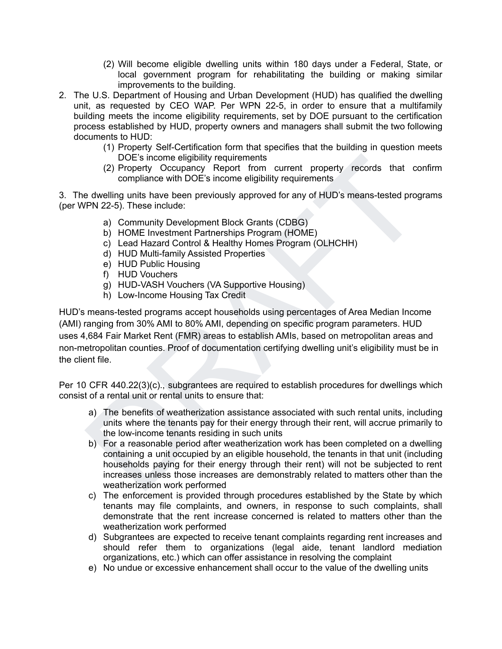- (2) Will become eligible dwelling units within 180 days under a Federal, State, or local government program for rehabilitating the building or making similar improvements to the building.
- 2. The U.S. Department of Housing and Urban Development (HUD) has qualified the dwelling unit, as requested by CEO WAP. Per WPN 22-5, in order to ensure that a multifamily building meets the income eligibility requirements, set by DOE pursuant to the certification process established by HUD, property owners and managers shall submit the two following documents to HUD:
	- (1) Property Self-Certification form that specifies that the building in question meets DOE's income eligibility requirements
	- (2) Property Occupancy Report from current property records that confirm compliance with DOE's income eligibility requirements

3. The dwelling units have been previously approved for any of HUD's means-tested programs (per WPN 22-5). These include:

- a) Community Development Block Grants (CDBG)
- b) HOME Investment Partnerships Program (HOME)
- c) Lead Hazard Control & Healthy Homes Program (OLHCHH)
- d) HUD Multi-family Assisted Properties
- e) HUD Public Housing
- f) HUD Vouchers
- g) HUD-VASH Vouchers (VA Supportive Housing)
- h) Low-Income Housing Tax Credit

DOE's income eligibility requirements<br>
(2) Property Occupancy Report from current property records that confirm<br>
compliance with DOE's income eligibility requirements<br>
developing units have been previously approved for any HUD's means-tested programs accept households using percentages of Area Median Income (AMI) ranging from 30% AMI to 80% AMI, depending on specific program parameters. HUD uses 4,684 Fair Market Rent (FMR) areas to establish AMIs, based on metropolitan areas and non-metropolitan counties. Proof of documentation certifying dwelling unit's eligibility must be in the client file.

Per 10 CFR 440.22(3)(c)., subgrantees are required to establish procedures for dwellings which consist of a rental unit or rental units to ensure that:

- a) The benefits of weatherization assistance associated with such rental units, including units where the tenants pay for their energy through their rent, will accrue primarily to the low-income tenants residing in such units
- b) For a reasonable period after weatherization work has been completed on a dwelling containing a unit occupied by an eligible household, the tenants in that unit (including households paying for their energy through their rent) will not be subjected to rent increases unless those increases are demonstrably related to matters other than the weatherization work performed
- c) The enforcement is provided through procedures established by the State by which tenants may file complaints, and owners, in response to such complaints, shall demonstrate that the rent increase concerned is related to matters other than the weatherization work performed
- d) Subgrantees are expected to receive tenant complaints regarding rent increases and should refer them to organizations (legal aide, tenant landlord mediation organizations, etc.) which can offer assistance in resolving the complaint
- e) No undue or excessive enhancement shall occur to the value of the dwelling units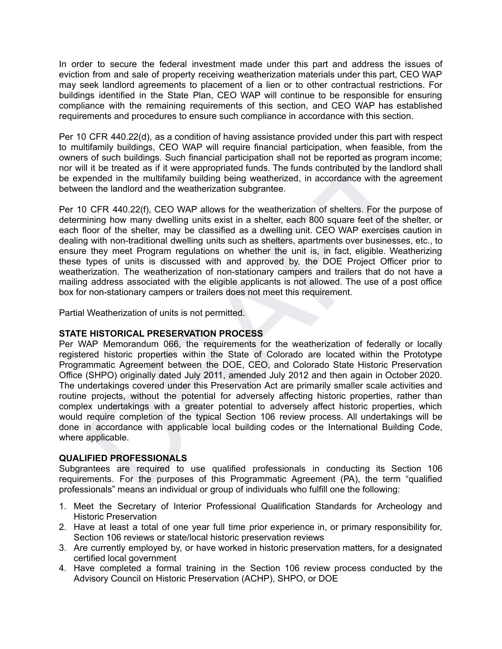In order to secure the federal investment made under this part and address the issues of eviction from and sale of property receiving weatherization materials under this part, CEO WAP may seek landlord agreements to placement of a lien or to other contractual restrictions. For buildings identified in the State Plan, CEO WAP will continue to be responsible for ensuring compliance with the remaining requirements of this section, and CEO WAP has established requirements and procedures to ensure such compliance in accordance with this section.

Per 10 CFR 440.22(d), as a condition of having assistance provided under this part with respect to multifamily buildings, CEO WAP will require financial participation, when feasible, from the owners of such buildings. Such financial participation shall not be reported as program income; nor will it be treated as if it were appropriated funds. The funds contributed by the landlord shall be expended in the multifamily building being weatherized, in accordance with the agreement between the landlord and the weatherization subgrantee.

Per 10 CFR 440.22(f), CEO WAP allows for the weatherization of shelters. For the purpose of determining how many dwelling units exist in a shelter, each 800 square feet of the shelter, or each floor of the shelter, may be classified as a dwelling unit. CEO WAP exercises caution in dealing with non-traditional dwelling units such as shelters, apartments over businesses, etc., to ensure they meet Program regulations on whether the unit is, in fact, eligible. Weatherizing these types of units is discussed with and approved by, the DOE Project Officer prior to weatherization. The weatherization of non-stationary campers and trailers that do not have a mailing address associated with the eligible applicants is not allowed. The use of a post office box for non-stationary campers or trailers does not meet this requirement.

Partial Weatherization of units is not permitted.

# **STATE HISTORICAL PRESERVATION PROCESS**

s of such buildings. Such financial participation shall not be reported as program income;<br>If it be treated as if it were appropriated funds. The funds contributed by the landlord shall<br>bended in the multifamily building b Per WAP Memorandum 066, the requirements for the weatherization of federally or locally registered historic properties within the State of Colorado are located within the Prototype Programmatic Agreement between the DOE, CEO, and Colorado State Historic Preservation Office (SHPO) originally dated July 2011, amended July 2012 and then again in October 2020. The undertakings covered under this Preservation Act are primarily smaller scale activities and routine projects, without the potential for adversely affecting historic properties, rather than complex undertakings with a greater potential to adversely affect historic properties, which would require completion of the typical Section 106 review process. All undertakings will be done in accordance with applicable local building codes or the International Building Code, where applicable.

# **QUALIFIED PROFESSIONALS**

Subgrantees are required to use qualified professionals in conducting its Section 106 requirements. For the purposes of this Programmatic Agreement (PA), the term "qualified professionals" means an individual or group of individuals who fulfill one the following:

- 1. Meet the Secretary of Interior Professional Qualification Standards for Archeology and Historic Preservation
- 2. Have at least a total of one year full time prior experience in, or primary responsibility for, Section 106 reviews or state/local historic preservation reviews
- 3. Are currently employed by, or have worked in historic preservation matters, for a designated certified local government
- 4. Have completed a formal training in the Section 106 review process conducted by the Advisory Council on Historic Preservation (ACHP), SHPO, or DOE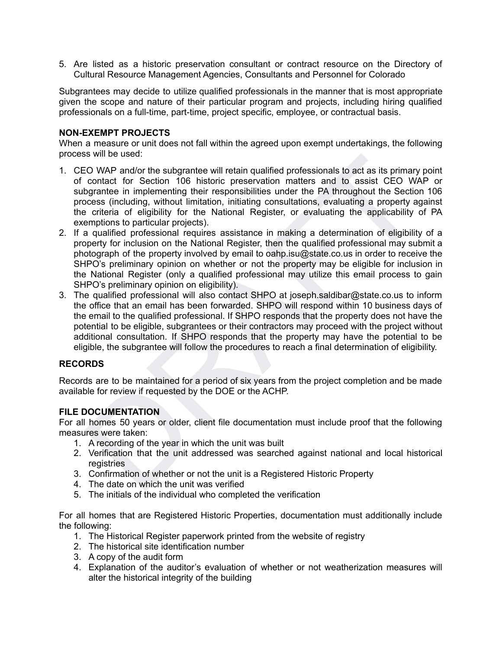5. Are listed as a historic preservation consultant or contract resource on the Directory of Cultural Resource Management Agencies, Consultants and Personnel for Colorado

Subgrantees may decide to utilize qualified professionals in the manner that is most appropriate given the scope and nature of their particular program and projects, including hiring qualified professionals on a full-time, part-time, project specific, employee, or contractual basis.

# **NON-EXEMPT PROJECTS**

When a measure or unit does not fall within the agreed upon exempt undertakings, the following process will be used:

- 1. CEO WAP and/or the subgrantee will retain qualified professionals to act as its primary point of contact for Section 106 historic preservation matters and to assist CEO WAP or subgrantee in implementing their responsibilities under the PA throughout the Section 106 process (including, without limitation, initiating consultations, evaluating a property against the criteria of eligibility for the National Register, or evaluating the applicability of PA exemptions to particular projects).
- is will be used.<br>The Discouries that the production final method and the production and the substitute of the production of contact for Section 106 historic preservation matters and to assist CEO WAP or contact for Section 2. If a qualified professional requires assistance in making a determination of eligibility of a property for inclusion on the National Register, then the qualified professional may submit a photograph of the property involved by email to oahp.isu@state.co.us in order to receive the SHPO's preliminary opinion on whether or not the property may be eligible for inclusion in the National Register (only a qualified professional may utilize this email process to gain SHPO's preliminary opinion on eligibility).
- 3. The qualified professional will also contact SHPO at joseph.saldibar@state.co.us to inform the office that an email has been forwarded. SHPO will respond within 10 business days of the email to the qualified professional. If SHPO responds that the property does not have the potential to be eligible, subgrantees or their contractors may proceed with the project without additional consultation. If SHPO responds that the property may have the potential to be eligible, the subgrantee will follow the procedures to reach a final determination of eligibility.

# **RECORDS**

Records are to be maintained for a period of six years from the project completion and be made available for review if requested by the DOE or the ACHP.

### **FILE DOCUMENTATION**

For all homes 50 years or older, client file documentation must include proof that the following measures were taken:

- 1. A recording of the year in which the unit was built
- 2. Verification that the unit addressed was searched against national and local historical registries
- 3. Confirmation of whether or not the unit is a Registered Historic Property
- 4. The date on which the unit was verified
- 5. The initials of the individual who completed the verification

For all homes that are Registered Historic Properties, documentation must additionally include the following:

- 1. The Historical Register paperwork printed from the website of registry
- 2. The historical site identification number
- 3. A copy of the audit form
- 4. Explanation of the auditor's evaluation of whether or not weatherization measures will alter the historical integrity of the building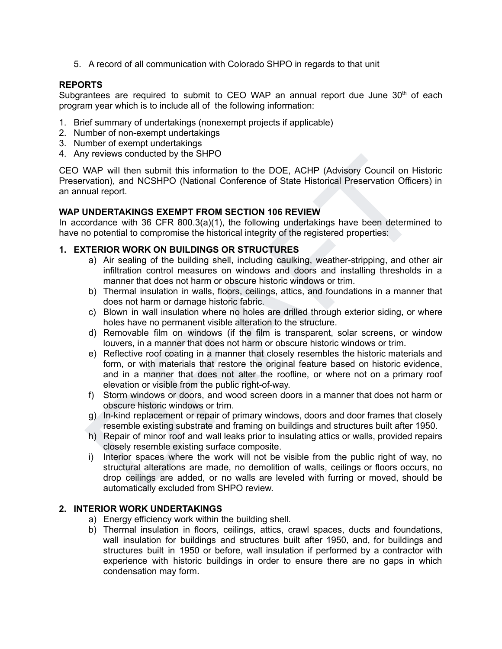5. A record of all communication with Colorado SHPO in regards to that unit

# **REPORTS**

Subgrantees are required to submit to CEO WAP an annual report due June  $30<sup>th</sup>$  of each program year which is to include all of the following information:

- 1. Brief summary of undertakings (nonexempt projects if applicable)
- 2. Number of non-exempt undertakings
- 3. Number of exempt undertakings
- 4. Any reviews conducted by the SHPO

CEO WAP will then submit this information to the DOE, ACHP (Advisory Council on Historic Preservation), and NCSHPO (National Conference of State Historical Preservation Officers) in an annual report.

### **WAP UNDERTAKINGS EXEMPT FROM SECTION 106 REVIEW**

In accordance with 36 CFR 800.3(a)(1), the following undertakings have been determined to have no potential to compromise the historical integrity of the registered properties:

### **1. EXTERIOR WORK ON BUILDINGS OR STRUCTURES**

- a) Air sealing of the building shell, including caulking, weather-stripping, and other air infiltration control measures on windows and doors and installing thresholds in a manner that does not harm or obscure historic windows or trim.
- b) Thermal insulation in walls, floors, ceilings, attics, and foundations in a manner that does not harm or damage historic fabric.
- c) Blown in wall insulation where no holes are drilled through exterior siding, or where holes have no permanent visible alteration to the structure.
- d) Removable film on windows (if the film is transparent, solar screens, or window louvers, in a manner that does not harm or obscure historic windows or trim.
- Treviews conducted by the Stripton<br>
WAP will then submit this information to the DOE, ACHP (Advisory Council on Historic<br>
wation), and NCSHPO (National Conference of State Historical Preservation Officers) in<br>
unal report. e) Reflective roof coating in a manner that closely resembles the historic materials and form, or with materials that restore the original feature based on historic evidence, and in a manner that does not alter the roofline, or where not on a primary roof elevation or visible from the public right-of-way.
- f) Storm windows or doors, and wood screen doors in a manner that does not harm or obscure historic windows or trim.
- g) In-kind replacement or repair of primary windows, doors and door frames that closely resemble existing substrate and framing on buildings and structures built after 1950.
- h) Repair of minor roof and wall leaks prior to insulating attics or walls, provided repairs closely resemble existing surface composite.
- i) Interior spaces where the work will not be visible from the public right of way, no structural alterations are made, no demolition of walls, ceilings or floors occurs, no drop ceilings are added, or no walls are leveled with furring or moved, should be automatically excluded from SHPO review.

# **2. INTERIOR WORK UNDERTAKINGS**

- a) Energy efficiency work within the building shell.
- b) Thermal insulation in floors, ceilings, attics, crawl spaces, ducts and foundations, wall insulation for buildings and structures built after 1950, and, for buildings and structures built in 1950 or before, wall insulation if performed by a contractor with experience with historic buildings in order to ensure there are no gaps in which condensation may form.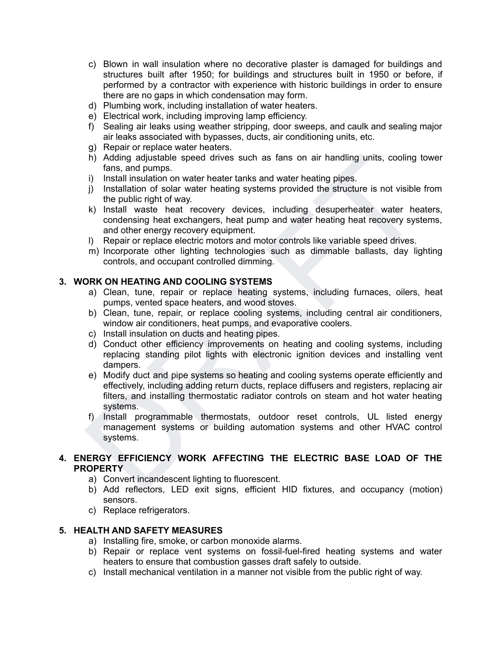- c) Blown in wall insulation where no decorative plaster is damaged for buildings and structures built after 1950; for buildings and structures built in 1950 or before, if performed by a contractor with experience with historic buildings in order to ensure there are no gaps in which condensation may form.
- d) Plumbing work, including installation of water heaters.
- e) Electrical work, including improving lamp efficiency.
- f) Sealing air leaks using weather stripping, door sweeps, and caulk and sealing major air leaks associated with bypasses, ducts, air conditioning units, etc.
- g) Repair or replace water heaters.
- h) Adding adjustable speed drives such as fans on air handling units, cooling tower fans, and pumps.
- i) Install insulation on water heater tanks and water heating pipes.
- j) Installation of solar water heating systems provided the structure is not visible from the public right of way.
- k) Install waste heat recovery devices, including desuperheater water heaters, condensing heat exchangers, heat pump and water heating heat recovery systems, and other energy recovery equipment.
- l) Repair or replace electric motors and motor controls like variable speed drives.
- m) Incorporate other lighting technologies such as dimmable ballasts, day lighting controls, and occupant controlled dimming.

# **3. WORK ON HEATING AND COOLING SYSTEMS**

- a) Clean, tune, repair or replace heating systems, including furnaces, oilers, heat pumps, vented space heaters, and wood stoves.
- b) Clean, tune, repair, or replace cooling systems, including central air conditioners, window air conditioners, heat pumps, and evaporative coolers.
- c) Install insulation on ducts and heating pipes.
- d) Conduct other efficiency improvements on heating and cooling systems, including replacing standing pilot lights with electronic ignition devices and installing vent dampers.
- h) Adding adjustable speed drives such as fans on air handling units, cooling tower<br>
instant and pumps.<br>
in Install insulation on water heater tanks and water heating pipes.<br>
in Install insulation on water heating systems e) Modify duct and pipe systems so heating and cooling systems operate efficiently and effectively, including adding return ducts, replace diffusers and registers, replacing air filters, and installing thermostatic radiator controls on steam and hot water heating systems.
- f) Install programmable thermostats, outdoor reset controls, UL listed energy management systems or building automation systems and other HVAC control systems.

# **4. ENERGY EFFICIENCY WORK AFFECTING THE ELECTRIC BASE LOAD OF THE PROPERTY**

- a) Convert incandescent lighting to fluorescent.
- b) Add reflectors, LED exit signs, efficient HID fixtures, and occupancy (motion) sensors.
- c) Replace refrigerators.

### **5. HEALTH AND SAFETY MEASURES**

- a) Installing fire, smoke, or carbon monoxide alarms.
- b) Repair or replace vent systems on fossil-fuel-fired heating systems and water heaters to ensure that combustion gasses draft safely to outside.
- c) Install mechanical ventilation in a manner not visible from the public right of way.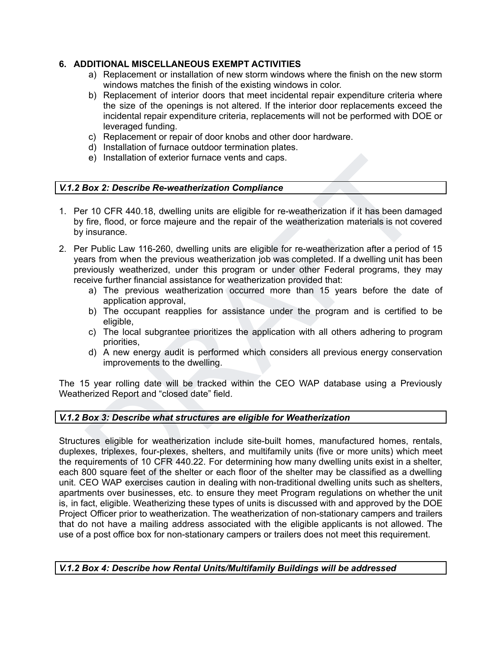# **6. ADDITIONAL MISCELLANEOUS EXEMPT ACTIVITIES**

- a) Replacement or installation of new storm windows where the finish on the new storm windows matches the finish of the existing windows in color.
- b) Replacement of interior doors that meet incidental repair expenditure criteria where the size of the openings is not altered. If the interior door replacements exceed the incidental repair expenditure criteria, replacements will not be performed with DOE or leveraged funding.
- c) Replacement or repair of door knobs and other door hardware.
- d) Installation of furnace outdoor termination plates.
- e) Installation of exterior furnace vents and caps.

# *V.1.2 Box 2: Describe Re-weatherization Compliance*

- 1. Per 10 CFR 440.18, dwelling units are eligible for re-weatherization if it has been damaged by fire, flood, or force majeure and the repair of the weatherization materials is not covered by insurance.
- 2. Per Public Law 116-260, dwelling units are eligible for re-weatherization after a period of 15 years from when the previous weatherization job was completed. If a dwelling unit has been previously weatherized, under this program or under other Federal programs, they may receive further financial assistance for weatherization provided that:
	- a) The previous weatherization occurred more than 15 years before the date of application approval,
	- b) The occupant reapplies for assistance under the program and is certified to be eligible,
	- c) The local subgrantee prioritizes the application with all others adhering to program priorities,
	- d) A new energy audit is performed which considers all previous energy conservation improvements to the dwelling.

The 15 year rolling date will be tracked within the CEO WAP database using a Previously Weatherized Report and "closed date" field.

# *V.1.2 Box 3: Describe what structures are eligible for Weatherization*

e) Installation of exterior furnace vents and caps.<br> **Box 2: Describe Re-weatherization Compliance**<br>
In 10 CFR 440.18, dwelling units are eligible for re-weatherization if it has been damaged<br>
fire, flood, or force majeure Structures eligible for weatherization include site-built homes, manufactured homes, rentals, duplexes, triplexes, four-plexes, shelters, and multifamily units (five or more units) which meet the requirements of 10 CFR 440.22. For determining how many dwelling units exist in a shelter, each 800 square feet of the shelter or each floor of the shelter may be classified as a dwelling unit. CEO WAP exercises caution in dealing with non-traditional dwelling units such as shelters, apartments over businesses, etc. to ensure they meet Program regulations on whether the unit is, in fact, eligible. Weatherizing these types of units is discussed with and approved by the DOE Project Officer prior to weatherization. The weatherization of non-stationary campers and trailers that do not have a mailing address associated with the eligible applicants is not allowed. The use of a post office box for non-stationary campers or trailers does not meet this requirement.

*V.1.2 Box 4: Describe how Rental Units/Multifamily Buildings will be addressed*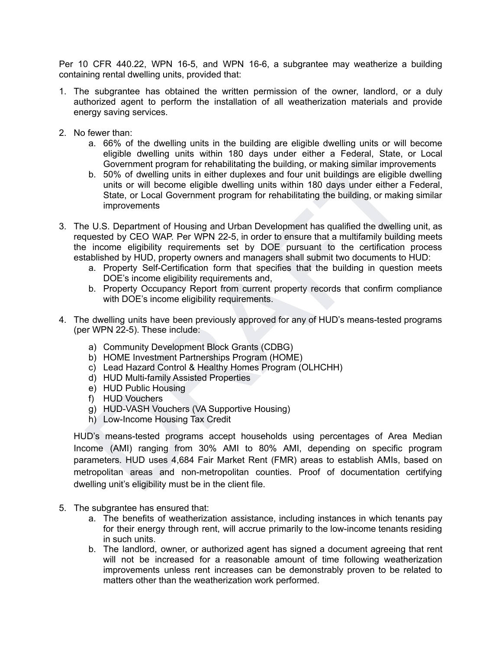Per 10 CFR 440.22, WPN 16-5, and WPN 16-6, a subgrantee may weatherize a building containing rental dwelling units, provided that:

- 1. The subgrantee has obtained the written permission of the owner, landlord, or a duly authorized agent to perform the installation of all weatherization materials and provide energy saving services.
- 2. No fewer than:
	- a. 66% of the dwelling units in the building are eligible dwelling units or will become eligible dwelling units within 180 days under either a Federal, State, or Local Government program for rehabilitating the building, or making similar improvements
	- b. 50% of dwelling units in either duplexes and four unit buildings are eligible dwelling units or will become eligible dwelling units within 180 days under either a Federal, State, or Local Government program for rehabilitating the building, or making similar improvements
- 3. The U.S. Department of Housing and Urban Development has qualified the dwelling unit, as requested by CEO WAP. Per WPN 22-5, in order to ensure that a multifamily building meets the income eligibility requirements set by DOE pursuant to the certification process established by HUD, property owners and managers shall submit two documents to HUD:
	- a. Property Self-Certification form that specifies that the building in question meets DOE's income eligibility requirements and,
	- b. Property Occupancy Report from current property records that confirm compliance with DOE's income eligibility requirements.
- 4. The dwelling units have been previously approved for any of HUD's means-tested programs (per WPN 22-5). These include:
	- a) Community Development Block Grants (CDBG)
	- b) HOME Investment Partnerships Program (HOME)
	- c) Lead Hazard Control & Healthy Homes Program (OLHCHH)
	- d) HUD Multi-family Assisted Properties
	- e) HUD Public Housing
	- f) HUD Vouchers
	- g) HUD-VASH Vouchers (VA Supportive Housing)
	- h) Low-Income Housing Tax Credit

eligible wollting units winner lote at the sole enterer a Federal, State, or Local<br>Government program for rehabilitating the building, or making similar improvements<br>b. 50% of dwilling units in either dupleses and four uni HUD's means-tested programs accept households using percentages of Area Median Income (AMI) ranging from 30% AMI to 80% AMI, depending on specific program parameters. HUD uses 4,684 Fair Market Rent (FMR) areas to establish AMIs, based on metropolitan areas and non-metropolitan counties. Proof of documentation certifying dwelling unit's eligibility must be in the client file.

- 5. The subgrantee has ensured that:
	- a. The benefits of weatherization assistance, including instances in which tenants pay for their energy through rent, will accrue primarily to the low-income tenants residing in such units.
	- b. The landlord, owner, or authorized agent has signed a document agreeing that rent will not be increased for a reasonable amount of time following weatherization improvements unless rent increases can be demonstrably proven to be related to matters other than the weatherization work performed.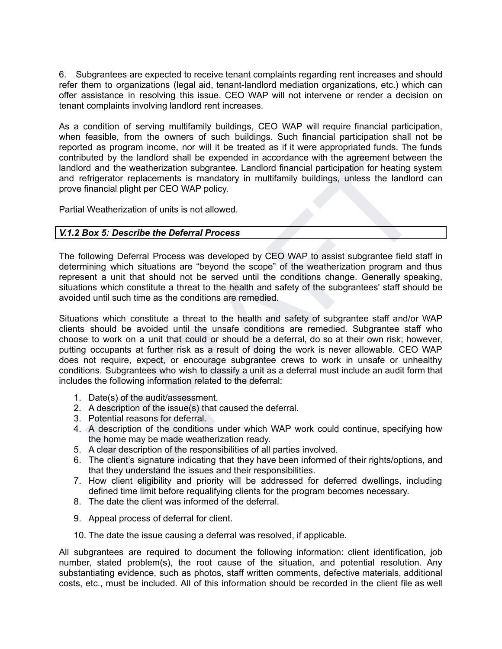6. Subgrantees are expected to receive tenant complaints regarding rent increases and should refer them to organizations (legal aid, tenant-landlord mediation organizations, etc.) which can offer assistance in resolving this issue. CEO WAP will not intervene or render a decision on tenant complaints involving landlord rent increases.

As a condition of serving multifamily buildings, CEO WAP will require financial participation, when feasible, from the owners of such buildings. Such financial participation shall not be reported as program income, nor will it be treated as if it were appropriated funds. The funds contributed by the landlord shall be expended in accordance with the agreement between the landlord and the weatherization subgrantee. Landlord financial participation for heating system and refrigerator replacements is mandatory in multifamily buildings, unless the landlord can prove financial plight per CEO WAP policy.

Partial Weatherization of units is not allowed.

# *V.1.2 Box 5: Describe the Deferral Process*

The following Deferral Process was developed by CEO WAP to assist subgrantee field staff in determining which situations are "beyond the scope" of the weatherization program and thus represent a unit that should not be served until the conditions change. Generally speaking, situations which constitute a threat to the health and safety of the subgrantees' staff should be avoided until such time as the conditions are remedied.

but et la via translate expended in accordance with the agreement between the<br>translate that the wigher three system<br>of and the weatherization subgrante. Landlord financial participation for heating system<br>frigerator repla Situations which constitute a threat to the health and safety of subgrantee staff and/or WAP clients should be avoided until the unsafe conditions are remedied. Subgrantee staff who choose to work on a unit that could or should be a deferral, do so at their own risk; however, putting occupants at further risk as a result of doing the work is never allowable. CEO WAP does not require, expect, or encourage subgrantee crews to work in unsafe or unhealthy conditions. Subgrantees who wish to classify a unit as a deferral must include an audit form that includes the following information related to the deferral:

- 1. Date(s) of the audit/assessment.
- 2. A description of the issue(s) that caused the deferral.
- 3. Potential reasons for deferral.
- 4. A description of the conditions under which WAP work could continue, specifying how the home may be made weatherization ready.
- 5. A clear description of the responsibilities of all parties involved.
- 6. The client's signature indicating that they have been informed of their rights/options, and that they understand the issues and their responsibilities.
- 7. How client eligibility and priority will be addressed for deferred dwellings, including defined time limit before requalifying clients for the program becomes necessary.
- 8. The date the client was informed of the deferral.
- 9. Appeal process of deferral for client.
- 10. The date the issue causing a deferral was resolved, if applicable.

All subgrantees are required to document the following information: client identification, job number, stated problem(s), the root cause of the situation, and potential resolution. Any substantiating evidence, such as photos, staff written comments, defective materials, additional costs, etc., must be included. All of this information should be recorded in the client file as well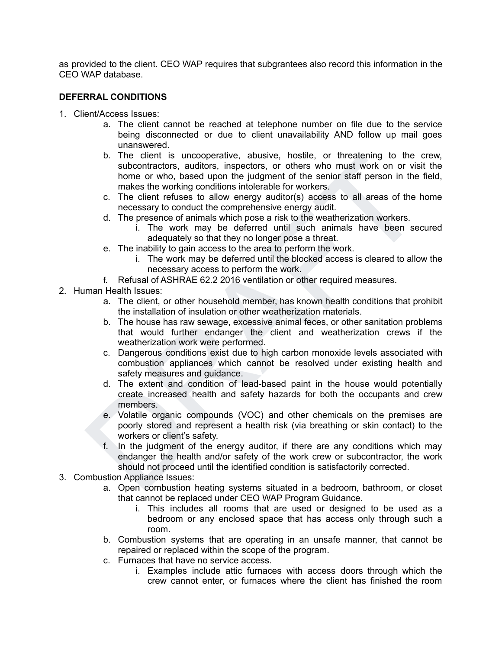as provided to the client. CEO WAP requires that subgrantees also record this information in the CEO WAP database.

# **DEFERRAL CONDITIONS**

- 1. Client/Access Issues:
	- a. The client cannot be reached at telephone number on file due to the service being disconnected or due to client unavailability AND follow up mail goes unanswered.
	- b. In elicint is uncooperative, abusive, hostile, or threatiening to the crew, based upon the judgment of the semi-<br>musculication and the small method many subcontractors, and<br>then you contine judgment of the semi-<br>makes t b. The client is uncooperative, abusive, hostile, or threatening to the crew, subcontractors, auditors, inspectors, or others who must work on or visit the home or who, based upon the judgment of the senior staff person in the field, makes the working conditions intolerable for workers.
		- c. The client refuses to allow energy auditor(s) access to all areas of the home necessary to conduct the comprehensive energy audit.
		- d. The presence of animals which pose a risk to the weatherization workers.
			- i. The work may be deferred until such animals have been secured adequately so that they no longer pose a threat.
		- e. The inability to gain access to the area to perform the work.
			- i. The work may be deferred until the blocked access is cleared to allow the necessary access to perform the work.
		- f. Refusal of ASHRAE 62.2 2016 ventilation or other required measures.
- 2. Human Health Issues:
	- a. The client, or other household member, has known health conditions that prohibit the installation of insulation or other weatherization materials.
	- b. The house has raw sewage, excessive animal feces, or other sanitation problems that would further endanger the client and weatherization crews if the weatherization work were performed.
	- c. Dangerous conditions exist due to high carbon monoxide levels associated with combustion appliances which cannot be resolved under existing health and safety measures and guidance.
	- d. The extent and condition of lead-based paint in the house would potentially create increased health and safety hazards for both the occupants and crew members.
	- e. Volatile organic compounds (VOC) and other chemicals on the premises are poorly stored and represent a health risk (via breathing or skin contact) to the workers or client's safety.
	- f. In the judgment of the energy auditor, if there are any conditions which may endanger the health and/or safety of the work crew or subcontractor, the work should not proceed until the identified condition is satisfactorily corrected.
- 3. Combustion Appliance Issues:
	- a. Open combustion heating systems situated in a bedroom, bathroom, or closet that cannot be replaced under CEO WAP Program Guidance.
		- i. This includes all rooms that are used or designed to be used as a bedroom or any enclosed space that has access only through such a room.
	- b. Combustion systems that are operating in an unsafe manner, that cannot be repaired or replaced within the scope of the program.
	- c. Furnaces that have no service access.
		- i. Examples include attic furnaces with access doors through which the crew cannot enter, or furnaces where the client has finished the room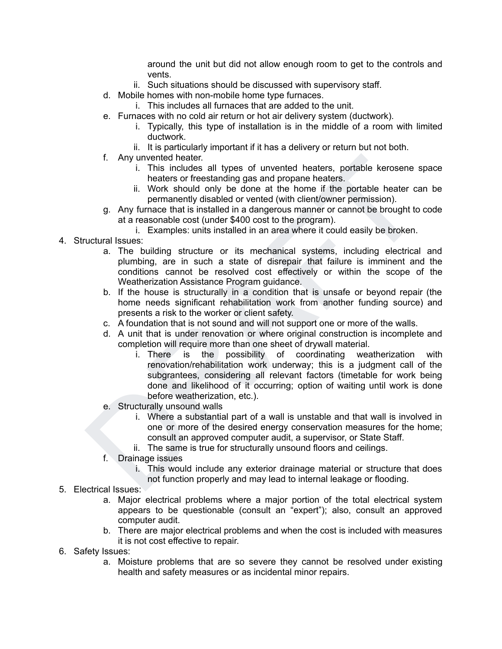around the unit but did not allow enough room to get to the controls and vents.

- ii. Such situations should be discussed with supervisory staff.
- d. Mobile homes with non-mobile home type furnaces.
	- i. This includes all furnaces that are added to the unit.
- e. Furnaces with no cold air return or hot air delivery system (ductwork).
	- i. Typically, this type of installation is in the middle of a room with limited ductwork.
	- ii. It is particularly important if it has a delivery or return but not both.
- f. Any unvented heater.
	- i. This includes all types of unvented heaters, portable kerosene space heaters or freestanding gas and propane heaters.
	- ii. Work should only be done at the home if the portable heater can be permanently disabled or vented (with client/owner permission).
- g. Any furnace that is installed in a dangerous manner or cannot be brought to code at a reasonable cost (under \$400 cost to the program).
	- i. Examples: units installed in an area where it could easily be broken.
- 4. Structural Issues:
	- a. The building structure or its mechanical systems, including electrical and plumbing, are in such a state of disrepair that failure is imminent and the conditions cannot be resolved cost effectively or within the scope of the Weatherization Assistance Program guidance.
	- b. If the house is structurally in a condition that is unsafe or beyond repair (the home needs significant rehabilitation work from another funding source) and presents a risk to the worker or client safety.
	- c. A foundation that is not sound and will not support one or more of the walls.
	- d. A unit that is under renovation or where original construction is incomplete and completion will require more than one sheet of drywall material.
- f. Any unvented heater.<br>
in the final term is the sall types of unvented heaters, portable kerosene space<br>
in the small of the small of the brome in the portable heater can be<br>
ii. Work should only be done at the home if i. There is the possibility of coordinating weatherization with renovation/rehabilitation work underway; this is a judgment call of the subgrantees, considering all relevant factors (timetable for work being done and likelihood of it occurring; option of waiting until work is done before weatherization, etc.).
	- e. Structurally unsound walls
		- i. Where a substantial part of a wall is unstable and that wall is involved in one or more of the desired energy conservation measures for the home; consult an approved computer audit, a supervisor, or State Staff.
		- ii. The same is true for structurally unsound floors and ceilings.
	- f. Drainage issues
		- i. This would include any exterior drainage material or structure that does not function properly and may lead to internal leakage or flooding.
- 5. Electrical Issues:
	- a. Major electrical problems where a major portion of the total electrical system appears to be questionable (consult an "expert"); also, consult an approved computer audit.
	- b. There are major electrical problems and when the cost is included with measures it is not cost effective to repair.
- 6. Safety Issues:
	- a. Moisture problems that are so severe they cannot be resolved under existing health and safety measures or as incidental minor repairs.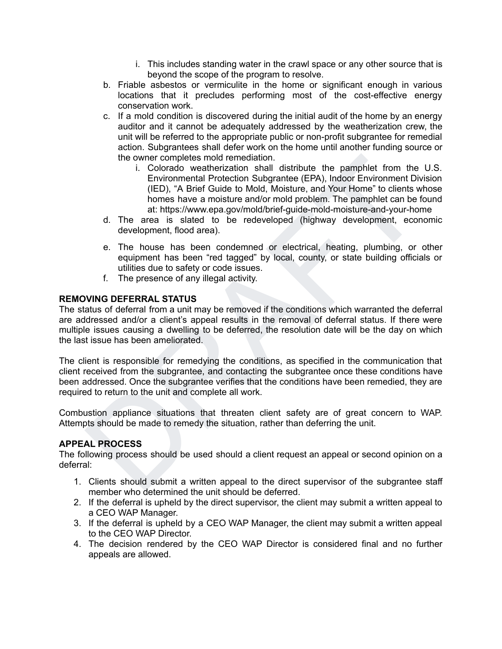- i. This includes standing water in the crawl space or any other source that is beyond the scope of the program to resolve.
- b. Friable asbestos or vermiculite in the home or significant enough in various locations that it precludes performing most of the cost-effective energy conservation work.
- c. If a mold condition is discovered during the initial audit of the home by an energy auditor and it cannot be adequately addressed by the weatherization crew, the unit will be referred to the appropriate public or non-profit subgrantee for remedial action. Subgrantees shall defer work on the home until another funding source or the owner completes mold remediation.
- the owner completes mold remediation. Submarket (EPA), Indoor Environment Division<br>
i. Colorado weatherization shall distribute the pamphlet from the U.S.<br>
Environmental Protection Subgramles (EPA), Indoor Environment Divi i. Colorado weatherization shall distribute the pamphlet from the U.S. Environmental Protection Subgrantee (EPA), Indoor Environment Division (IED), "A Brief Guide to Mold, Moisture, and Your Home" to clients whose homes have a moisture and/or mold problem. The pamphlet can be found at: https://www.epa.gov/mold/brief-guide-mold-moisture-and-your-home
	- d. The area is slated to be redeveloped (highway development, economic development, flood area).
	- e. The house has been condemned or electrical, heating, plumbing, or other equipment has been "red tagged" by local, county, or state building officials or utilities due to safety or code issues.
	- f. The presence of any illegal activity.

# **REMOVING DEFERRAL STATUS**

The status of deferral from a unit may be removed if the conditions which warranted the deferral are addressed and/or a client's appeal results in the removal of deferral status. If there were multiple issues causing a dwelling to be deferred, the resolution date will be the day on which the last issue has been ameliorated.

The client is responsible for remedying the conditions, as specified in the communication that client received from the subgrantee, and contacting the subgrantee once these conditions have been addressed. Once the subgrantee verifies that the conditions have been remedied, they are required to return to the unit and complete all work.

Combustion appliance situations that threaten client safety are of great concern to WAP. Attempts should be made to remedy the situation, rather than deferring the unit.

# **APPEAL PROCESS**

The following process should be used should a client request an appeal or second opinion on a deferral:

- 1. Clients should submit a written appeal to the direct supervisor of the subgrantee staff member who determined the unit should be deferred.
- 2. If the deferral is upheld by the direct supervisor, the client may submit a written appeal to a CEO WAP Manager.
- 3. If the deferral is upheld by a CEO WAP Manager, the client may submit a written appeal to the CEO WAP Director.
- 4. The decision rendered by the CEO WAP Director is considered final and no further appeals are allowed.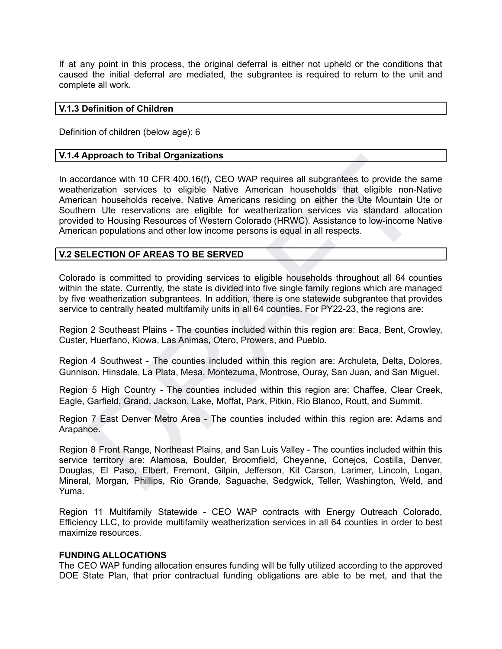If at any point in this process, the original deferral is either not upheld or the conditions that caused the initial deferral are mediated, the subgrantee is required to return to the unit and complete all work.

### **V.1.3 Definition of Children**

Definition of children (below age): 6

### **V.1.4 Approach to Tribal Organizations**

Approach to Tribal Organizations<br>
ordance with 10 CFR 400.16(f), CEO WAP requires all subgrantees to provide the same<br>
erization services to eligible Native Americans residing on either the Ute Mountain Ute or<br>
can househo In accordance with 10 CFR 400.16(f), CEO WAP requires all subgrantees to provide the same weatherization services to eligible Native American households that eligible non-Native American households receive. Native Americans residing on either the Ute Mountain Ute or Southern Ute reservations are eligible for weatherization services via standard allocation provided to Housing Resources of Western Colorado (HRWC). Assistance to low-income Native American populations and other low income persons is equal in all respects.

# **V.2 SELECTION OF AREAS TO BE SERVED**

Colorado is committed to providing services to eligible households throughout all 64 counties within the state. Currently, the state is divided into five single family regions which are managed by five weatherization subgrantees. In addition, there is one statewide subgrantee that provides service to centrally heated multifamily units in all 64 counties. For PY22-23, the regions are:

Region 2 Southeast Plains - The counties included within this region are: Baca, Bent, Crowley, Custer, Huerfano, Kiowa, Las Animas, Otero, Prowers, and Pueblo.

Region 4 Southwest - The counties included within this region are: Archuleta, Delta, Dolores, Gunnison, Hinsdale, La Plata, Mesa, Montezuma, Montrose, Ouray, San Juan, and San Miguel.

Region 5 High Country - The counties included within this region are: Chaffee, Clear Creek, Eagle, Garfield, Grand, Jackson, Lake, Moffat, Park, Pitkin, Rio Blanco, Routt, and Summit.

Region 7 East Denver Metro Area - The counties included within this region are: Adams and Arapahoe.

Region 8 Front Range, Northeast Plains, and San Luis Valley - The counties included within this service territory are: Alamosa, Boulder, Broomfield, Cheyenne, Conejos, Costilla, Denver, Douglas, El Paso, Elbert, Fremont, Gilpin, Jefferson, Kit Carson, Larimer, Lincoln, Logan, Mineral, Morgan, Phillips, Rio Grande, Saguache, Sedgwick, Teller, Washington, Weld, and Yuma.

Region 11 Multifamily Statewide - CEO WAP contracts with Energy Outreach Colorado, Efficiency LLC, to provide multifamily weatherization services in all 64 counties in order to best maximize resources.

### **FUNDING ALLOCATIONS**

The CEO WAP funding allocation ensures funding will be fully utilized according to the approved DOE State Plan, that prior contractual funding obligations are able to be met, and that the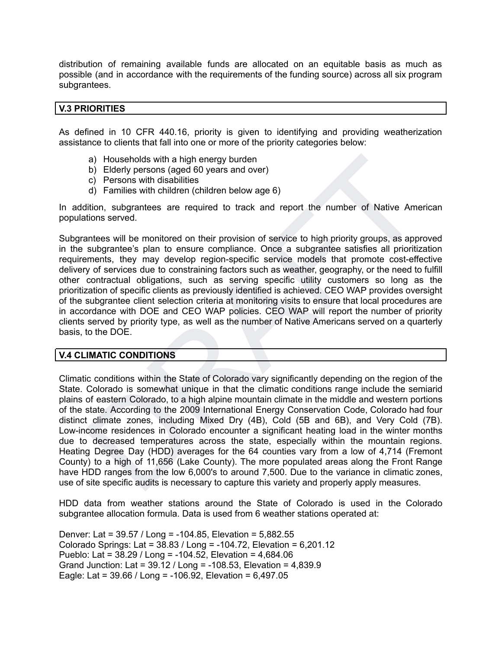distribution of remaining available funds are allocated on an equitable basis as much as possible (and in accordance with the requirements of the funding source) across all six program subgrantees.

### **V.3 PRIORITIES**

As defined in 10 CFR 440.16, priority is given to identifying and providing weatherization assistance to clients that fall into one or more of the priority categories below:

- a) Households with a high energy burden
- b) Elderly persons (aged 60 years and over)
- c) Persons with disabilities
- d) Families with children (children below age 6)

In addition, subgrantees are required to track and report the number of Native American populations served.

Subgrantees will be monitored on their provision of service to high priority groups, as approved in the subgrantee's plan to ensure compliance. Once a subgrantee satisfies all prioritization requirements, they may develop region-specific service models that promote cost-effective delivery of services due to constraining factors such as weather, geography, or the need to fulfill other contractual obligations, such as serving specific utility customers so long as the prioritization of specific clients as previously identified is achieved. CEO WAP provides oversight of the subgrantee client selection criteria at monitoring visits to ensure that local procedures are in accordance with DOE and CEO WAP policies. CEO WAP will report the number of priority clients served by priority type, as well as the number of Native Americans served on a quarterly basis, to the DOE.

### **V.4 CLIMATIC CONDITIONS**

a)<br>
b) Elderly persons (aged 60 years and over)<br>
b) Elderly persons (aged 60 years and over)<br>
c) Persons with disabilities<br>
d) Families with children (children below age 6)<br>
d) Families with children (children below age 6) Climatic conditions within the State of Colorado vary significantly depending on the region of the State. Colorado is somewhat unique in that the climatic conditions range include the semiarid plains of eastern Colorado, to a high alpine mountain climate in the middle and western portions of the state. According to the 2009 International Energy Conservation Code, Colorado had four distinct climate zones, including Mixed Dry (4B), Cold (5B and 6B), and Very Cold (7B). Low-income residences in Colorado encounter a significant heating load in the winter months due to decreased temperatures across the state, especially within the mountain regions. Heating Degree Day (HDD) averages for the 64 counties vary from a low of 4,714 (Fremont County) to a high of 11,656 (Lake County). The more populated areas along the Front Range have HDD ranges from the low 6,000's to around 7,500. Due to the variance in climatic zones, use of site specific audits is necessary to capture this variety and properly apply measures.

HDD data from weather stations around the State of Colorado is used in the Colorado subgrantee allocation formula. Data is used from 6 weather stations operated at:

Denver: Lat = 39.57 / Long = -104.85, Elevation = 5,882.55 Colorado Springs: Lat = 38.83 / Long = -104.72, Elevation = 6,201.12 Pueblo: Lat = 38.29 / Long = -104.52, Elevation = 4,684.06 Grand Junction: Lat = 39.12 / Long = -108.53, Elevation = 4,839.9 Eagle: Lat = 39.66 / Long = -106.92, Elevation = 6,497.05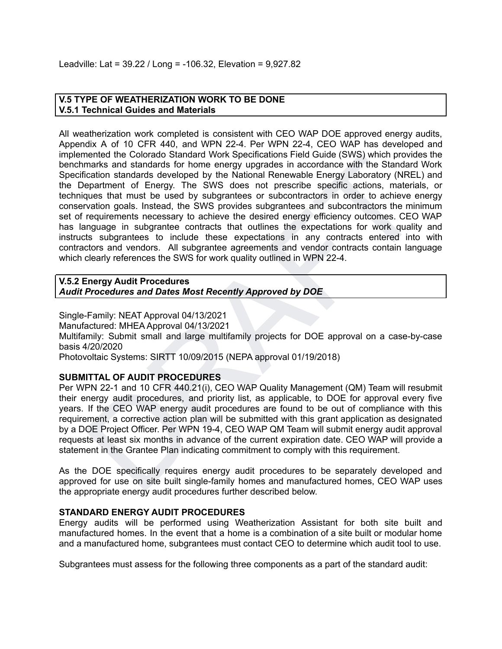# **V.5 TYPE OF WEATHERIZATION WORK TO BE DONE V.5.1 Technical Guides and Materials**

mente the Colorato Stantard worth Specifications Field Gulde (StwS) within provides the standard work become tends absolved by the National Renewable Energy Laboration standards for bone energy upgrades in accordance with All weatherization work completed is consistent with CEO WAP DOE approved energy audits, Appendix A of 10 CFR 440, and WPN 22-4. Per WPN 22-4, CEO WAP has developed and implemented the Colorado Standard Work Specifications Field Guide (SWS) which provides the benchmarks and standards for home energy upgrades in accordance with the Standard Work Specification standards developed by the National Renewable Energy Laboratory (NREL) and the Department of Energy. The SWS does not prescribe specific actions, materials, or techniques that must be used by subgrantees or subcontractors in order to achieve energy conservation goals. Instead, the SWS provides subgrantees and subcontractors the minimum set of requirements necessary to achieve the desired energy efficiency outcomes. CEO WAP has language in subgrantee contracts that outlines the expectations for work quality and instructs subgrantees to include these expectations in any contracts entered into with contractors and vendors. All subgrantee agreements and vendor contracts contain language which clearly references the SWS for work quality outlined in WPN 22-4.

#### **V.5.2 Energy Audit Procedures** *Audit Procedures and Dates Most Recently Approved by DOE*

Single-Family: NEAT Approval 04/13/2021 Manufactured: MHEA Approval 04/13/2021 Multifamily: Submit small and large multifamily projects for DOE approval on a case-by-case basis 4/20/2020 Photovoltaic Systems: SIRTT 10/09/2015 (NEPA approval 01/19/2018)

# **SUBMITTAL OF AUDIT PROCEDURES**

Per WPN 22-1 and 10 CFR 440.21(i), CEO WAP Quality Management (QM) Team will resubmit their energy audit procedures, and priority list, as applicable, to DOE for approval every five years. If the CEO WAP energy audit procedures are found to be out of compliance with this requirement, a corrective action plan will be submitted with this grant application as designated by a DOE Project Officer. Per WPN 19-4, CEO WAP QM Team will submit energy audit approval requests at least six months in advance of the current expiration date. CEO WAP will provide a statement in the Grantee Plan indicating commitment to comply with this requirement.

As the DOE specifically requires energy audit procedures to be separately developed and approved for use on site built single-family homes and manufactured homes, CEO WAP uses the appropriate energy audit procedures further described below.

### **STANDARD ENERGY AUDIT PROCEDURES**

Energy audits will be performed using Weatherization Assistant for both site built and manufactured homes. In the event that a home is a combination of a site built or modular home and a manufactured home, subgrantees must contact CEO to determine which audit tool to use.

Subgrantees must assess for the following three components as a part of the standard audit: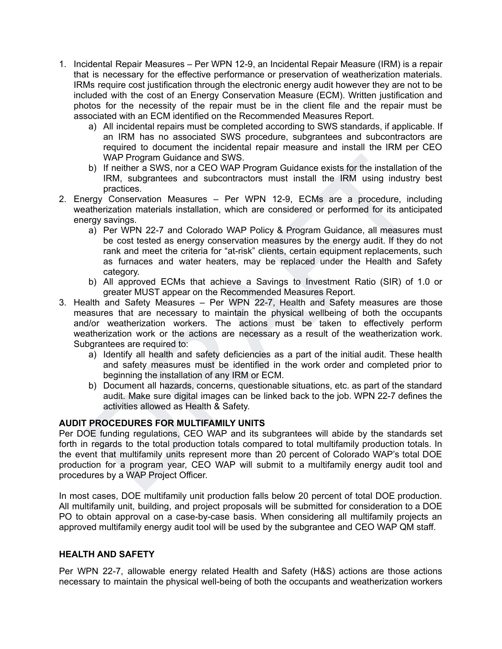- 1. Incidental Repair Measures Per WPN 12-9, an Incidental Repair Measure (IRM) is a repair that is necessary for the effective performance or preservation of weatherization materials. IRMs require cost justification through the electronic energy audit however they are not to be included with the cost of an Energy Conservation Measure (ECM). Written justification and photos for the necessity of the repair must be in the client file and the repair must be associated with an ECM identified on the Recommended Measures Report.
	- a) All incidental repairs must be completed according to SWS standards, if applicable. If an IRM has no associated SWS procedure, subgrantees and subcontractors are required to document the incidental repair measure and install the IRM per CEO WAP Program Guidance and SWS.
	- b) If neither a SWS, nor a CEO WAP Program Guidance exists for the installation of the IRM, subgrantees and subcontractors must install the IRM using industry best practices.
- 2. Energy Conservation Measures Per WPN 12-9, ECMs are a procedure, including weatherization materials installation, which are considered or performed for its anticipated energy savings.
- WAP Program Guidance exists for the installation of the<br>
IM wing modulance exists for the installation of the<br>
IRM. subgrantees and subcontractors must install the IRM using industry best<br>
regry Conservation Measures Per a) Per WPN 22-7 and Colorado WAP Policy & Program Guidance, all measures must be cost tested as energy conservation measures by the energy audit. If they do not rank and meet the criteria for "at-risk" clients, certain equipment replacements, such as furnaces and water heaters, may be replaced under the Health and Safety category.
	- b) All approved ECMs that achieve a Savings to Investment Ratio (SIR) of 1.0 or greater MUST appear on the Recommended Measures Report.
- 3. Health and Safety Measures Per WPN 22-7, Health and Safety measures are those measures that are necessary to maintain the physical wellbeing of both the occupants and/or weatherization workers. The actions must be taken to effectively perform weatherization work or the actions are necessary as a result of the weatherization work. Subgrantees are required to:
	- a) Identify all health and safety deficiencies as a part of the initial audit. These health and safety measures must be identified in the work order and completed prior to beginning the installation of any IRM or ECM.
	- b) Document all hazards, concerns, questionable situations, etc. as part of the standard audit. Make sure digital images can be linked back to the job. WPN 22-7 defines the activities allowed as Health & Safety.

# **AUDIT PROCEDURES FOR MULTIFAMILY UNITS**

Per DOE funding regulations, CEO WAP and its subgrantees will abide by the standards set forth in regards to the total production totals compared to total multifamily production totals. In the event that multifamily units represent more than 20 percent of Colorado WAP's total DOE production for a program year, CEO WAP will submit to a multifamily energy audit tool and procedures by a WAP Project Officer.

In most cases, DOE multifamily unit production falls below 20 percent of total DOE production. All multifamily unit, building, and project proposals will be submitted for consideration to a DOE PO to obtain approval on a case-by-case basis. When considering all multifamily projects an approved multifamily energy audit tool will be used by the subgrantee and CEO WAP QM staff.

# **HEALTH AND SAFETY**

Per WPN 22-7, allowable energy related Health and Safety (H&S) actions are those actions necessary to maintain the physical well-being of both the occupants and weatherization workers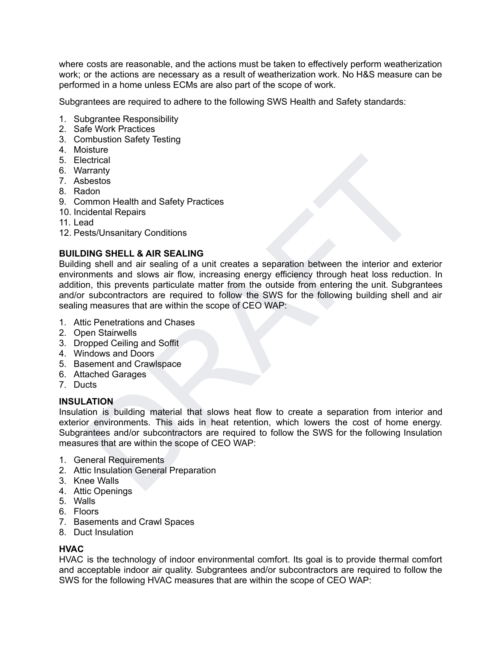where costs are reasonable, and the actions must be taken to effectively perform weatherization work; or the actions are necessary as a result of weatherization work. No H&S measure can be performed in a home unless ECMs are also part of the scope of work.

Subgrantees are required to adhere to the following SWS Health and Safety standards:

- 1. Subgrantee Responsibility
- 2. Safe Work Practices
- 3. Combustion Safety Testing
- 4. Moisture
- 5. Electrical
- 6. Warranty
- 7. Asbestos
- 8. Radon
- 9. Common Health and Safety Practices
- 10. Incidental Repairs
- 11. Lead
- 12. Pests/Unsanitary Conditions

### **BUILDING SHELL & AIR SEALING**

ectrical<br>starting<br>momon Health and Safety Practices<br>dotomom<br>momon Health and Safety Practices<br>ast<br>as the momon Health and Safety Practices<br>as the starting of a unit creates a separation between the interior and exterior<br>me Building shell and air sealing of a unit creates a separation between the interior and exterior environments and slows air flow, increasing energy efficiency through heat loss reduction. In addition, this prevents particulate matter from the outside from entering the unit. Subgrantees and/or subcontractors are required to follow the SWS for the following building shell and air sealing measures that are within the scope of CEO WAP:

- 1. Attic Penetrations and Chases
- 2. Open Stairwells
- 3. Dropped Ceiling and Soffit
- 4. Windows and Doors
- 5. Basement and Crawlspace
- 6. Attached Garages
- 7. Ducts

### **INSULATION**

Insulation is building material that slows heat flow to create a separation from interior and exterior environments. This aids in heat retention, which lowers the cost of home energy. Subgrantees and/or subcontractors are required to follow the SWS for the following Insulation measures that are within the scope of CEO WAP:

- 1. General Requirements
- 2. Attic Insulation General Preparation
- 3. Knee Walls
- 4. Attic Openings
- 5. Walls
- 6. Floors
- 7. Basements and Crawl Spaces
- 8. Duct Insulation

# **HVAC**

HVAC is the technology of indoor environmental comfort. Its goal is to provide thermal comfort and acceptable indoor air quality. Subgrantees and/or subcontractors are required to follow the SWS for the following HVAC measures that are within the scope of CEO WAP: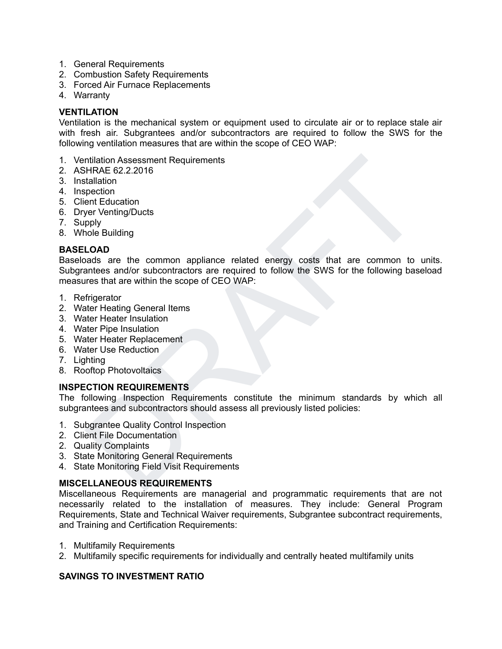- 1. General Requirements
- 2. Combustion Safety Requirements
- 3. Forced Air Furnace Replacements
- 4. Warranty

# **VENTILATION**

Ventilation is the mechanical system or equipment used to circulate air or to replace stale air with fresh air. Subgrantees and/or subcontractors are required to follow the SWS for the following ventilation measures that are within the scope of CEO WAP:

- 1. Ventilation Assessment Requirements
- 2. ASHRAE 62.2.2016
- 3. Installation
- 4. Inspection
- 5. Client Education
- 6. Dryer Venting/Ducts
- 7. Supply
- 8. Whole Building

# **BASELOAD**

mitation Assessment Requirements<br>
his HRAE 62.22016<br>
ent Education<br>
ent Education<br>
ent Education<br>
ent Education<br>
pply<br>
vehiclig/Ducts<br>
LOAD<br>
common appliance related energy costs that are common to units.<br>
and as are the c Baseloads are the common appliance related energy costs that are common to units. Subgrantees and/or subcontractors are required to follow the SWS for the following baseload measures that are within the scope of CEO WAP:

- 1. Refrigerator
- 2. Water Heating General Items
- 3. Water Heater Insulation
- 4. Water Pipe Insulation
- 5. Water Heater Replacement
- 6. Water Use Reduction
- 7. Lighting
- 8. Rooftop Photovoltaics

# **INSPECTION REQUIREMENTS**

The following Inspection Requirements constitute the minimum standards by which all subgrantees and subcontractors should assess all previously listed policies:

- 1. Subgrantee Quality Control Inspection
- 2. Client File Documentation
- 2. Quality Complaints
- 3. State Monitoring General Requirements
- 4. State Monitoring Field Visit Requirements

# **MISCELLANEOUS REQUIREMENTS**

Miscellaneous Requirements are managerial and programmatic requirements that are not necessarily related to the installation of measures. They include: General Program Requirements, State and Technical Waiver requirements, Subgrantee subcontract requirements, and Training and Certification Requirements:

- 1. Multifamily Requirements
- 2. Multifamily specific requirements for individually and centrally heated multifamily units

# **SAVINGS TO INVESTMENT RATIO**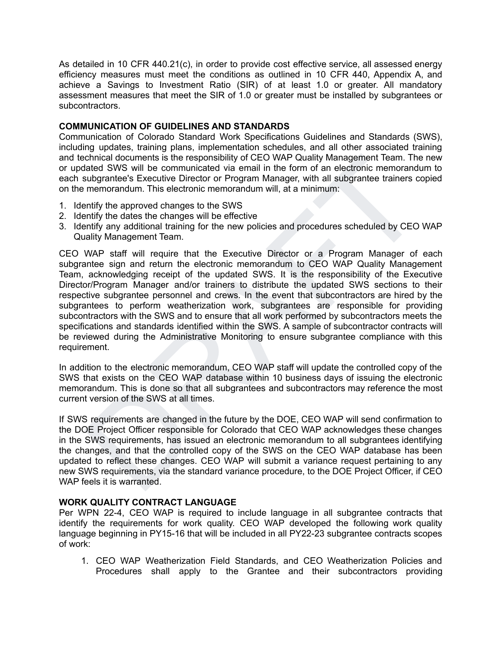As detailed in 10 CFR 440.21(c), in order to provide cost effective service, all assessed energy efficiency measures must meet the conditions as outlined in 10 CFR 440, Appendix A, and achieve a Savings to Investment Ratio (SIR) of at least 1.0 or greater. All mandatory assessment measures that meet the SIR of 1.0 or greater must be installed by subgrantees or subcontractors.

### **COMMUNICATION OF GUIDELINES AND STANDARDS**

Communication of Colorado Standard Work Specifications Guidelines and Standards (SWS), including updates, training plans, implementation schedules, and all other associated training and technical documents is the responsibility of CEO WAP Quality Management Team. The new or updated SWS will be communicated via email in the form of an electronic memorandum to each subgrantee's Executive Director or Program Manager, with all subgrantee trainers copied on the memorandum. This electronic memorandum will, at a minimum:

- 1. Identify the approved changes to the SWS
- 2. Identify the dates the changes will be effective
- 3. Identify any additional training for the new policies and procedures scheduled by CEO WAP Quality Management Team.

chincial documents is the responsibility of CEO WAP Quality Management Team. The new have that all subgranites Sustain to the more of many changement of the subgranites's Executive Director or Program Manager, with all sub CEO WAP staff will require that the Executive Director or a Program Manager of each subgrantee sign and return the electronic memorandum to CEO WAP Quality Management Team, acknowledging receipt of the updated SWS. It is the responsibility of the Executive Director/Program Manager and/or trainers to distribute the updated SWS sections to their respective subgrantee personnel and crews. In the event that subcontractors are hired by the subgrantees to perform weatherization work, subgrantees are responsible for providing subcontractors with the SWS and to ensure that all work performed by subcontractors meets the specifications and standards identified within the SWS. A sample of subcontractor contracts will be reviewed during the Administrative Monitoring to ensure subgrantee compliance with this requirement.

In addition to the electronic memorandum, CEO WAP staff will update the controlled copy of the SWS that exists on the CEO WAP database within 10 business days of issuing the electronic memorandum. This is done so that all subgrantees and subcontractors may reference the most current version of the SWS at all times.

If SWS requirements are changed in the future by the DOE, CEO WAP will send confirmation to the DOE Project Officer responsible for Colorado that CEO WAP acknowledges these changes in the SWS requirements, has issued an electronic memorandum to all subgrantees identifying the changes, and that the controlled copy of the SWS on the CEO WAP database has been updated to reflect these changes. CEO WAP will submit a variance request pertaining to any new SWS requirements, via the standard variance procedure, to the DOE Project Officer, if CEO WAP feels it is warranted.

# **WORK QUALITY CONTRACT LANGUAGE**

Per WPN 22-4, CEO WAP is required to include language in all subgrantee contracts that identify the requirements for work quality. CEO WAP developed the following work quality language beginning in PY15-16 that will be included in all PY22-23 subgrantee contracts scopes of work:

1. CEO WAP Weatherization Field Standards, and CEO Weatherization Policies and Procedures shall apply to the Grantee and their subcontractors providing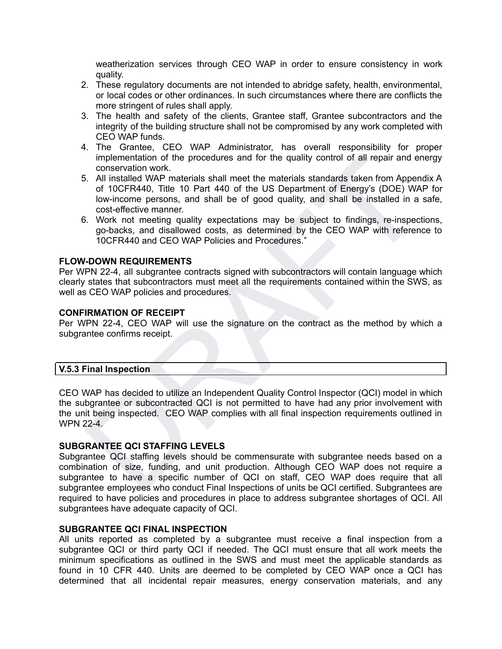weatherization services through CEO WAP in order to ensure consistency in work quality.

- 2. These regulatory documents are not intended to abridge safety, health, environmental, or local codes or other ordinances. In such circumstances where there are conflicts the more stringent of rules shall apply.
- 3. The health and safety of the clients, Grantee staff, Grantee subcontractors and the integrity of the building structure shall not be compromised by any work completed with CEO WAP funds.
- 4. The Grantee, CEO WAP Administrator, has overall responsibility for proper implementation of the procedures and for the quality control of all repair and energy conservation work.
- inglementation of the procedures and for the quality control of all repair and energy<br>
conservation work.<br>
S. All installed WAP materials shall meet the materials standards taken from Appendix A<br>
of 10CFR440, Title 10 Part 5. All installed WAP materials shall meet the materials standards taken from Appendix A of 10CFR440, Title 10 Part 440 of the US Department of Energy's (DOE) WAP for low-income persons, and shall be of good quality, and shall be installed in a safe, cost-effective manner.
- 6. Work not meeting quality expectations may be subject to findings, re-inspections, go-backs, and disallowed costs, as determined by the CEO WAP with reference to 10CFR440 and CEO WAP Policies and Procedures."

### **FLOW-DOWN REQUIREMENTS**

Per WPN 22-4, all subgrantee contracts signed with subcontractors will contain language which clearly states that subcontractors must meet all the requirements contained within the SWS, as well as CEO WAP policies and procedures.

### **CONFIRMATION OF RECEIPT**

Per WPN 22-4, CEO WAP will use the signature on the contract as the method by which a subgrantee confirms receipt.

### **V.5.3 Final Inspection**

CEO WAP has decided to utilize an Independent Quality Control Inspector (QCI) model in which the subgrantee or subcontracted QCI is not permitted to have had any prior involvement with the unit being inspected. CEO WAP complies with all final inspection requirements outlined in WPN 22-4.

# **SUBGRANTEE QCI STAFFING LEVELS**

Subgrantee QCI staffing levels should be commensurate with subgrantee needs based on a combination of size, funding, and unit production. Although CEO WAP does not require a subgrantee to have a specific number of QCI on staff, CEO WAP does require that all subgrantee employees who conduct Final Inspections of units be QCI certified. Subgrantees are required to have policies and procedures in place to address subgrantee shortages of QCI. All subgrantees have adequate capacity of QCI.

### **SUBGRANTEE QCI FINAL INSPECTION**

All units reported as completed by a subgrantee must receive a final inspection from a subgrantee QCI or third party QCI if needed. The QCI must ensure that all work meets the minimum specifications as outlined in the SWS and must meet the applicable standards as found in 10 CFR 440. Units are deemed to be completed by CEO WAP once a QCI has determined that all incidental repair measures, energy conservation materials, and any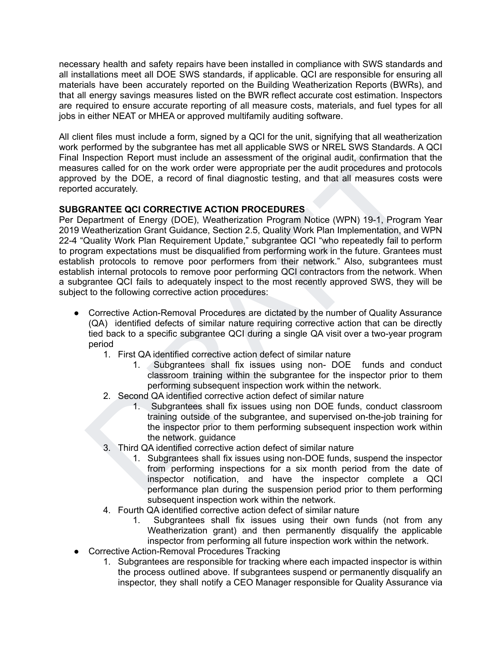necessary health and safety repairs have been installed in compliance with SWS standards and all installations meet all DOE SWS standards, if applicable. QCI are responsible for ensuring all materials have been accurately reported on the Building Weatherization Reports (BWRs), and that all energy savings measures listed on the BWR reflect accurate cost estimation. Inspectors are required to ensure accurate reporting of all measure costs, materials, and fuel types for all jobs in either NEAT or MHEA or approved multifamily auditing software.

All client files must include a form, signed by a QCI for the unit, signifying that all weatherization work performed by the subgrantee has met all applicable SWS or NREL SWS Standards. A QCI Final Inspection Report must include an assessment of the original audit, confirmation that the measures called for on the work order were appropriate per the audit procedures and protocols approved by the DOE, a record of final diagnostic testing, and that all measures costs were reported accurately.

# **SUBGRANTEE QCI CORRECTIVE ACTION PROCEDURES**

Inspection Report must include an assessment of the original audit, confirmation that the same<br>rescalled for on the work order were appropriate per the audit procedures and protocols<br>yere called for on the work order were Per Department of Energy (DOE), Weatherization Program Notice (WPN) 19-1, Program Year 2019 Weatherization Grant Guidance, Section 2.5, Quality Work Plan Implementation, and WPN 22-4 "Quality Work Plan Requirement Update," subgrantee QCI "who repeatedly fail to perform to program expectations must be disqualified from performing work in the future. Grantees must establish protocols to remove poor performers from their network." Also, subgrantees must establish internal protocols to remove poor performing QCI contractors from the network. When a subgrantee QCI fails to adequately inspect to the most recently approved SWS, they will be subject to the following corrective action procedures:

- Corrective Action-Removal Procedures are dictated by the number of Quality Assurance (QA) identified defects of similar nature requiring corrective action that can be directly tied back to a specific subgrantee QCI during a single QA visit over a two-year program period
	- 1. First QA identified corrective action defect of similar nature
		- 1. Subgrantees shall fix issues using non- DOE funds and conduct classroom training within the subgrantee for the inspector prior to them performing subsequent inspection work within the network.
	- 2. Second QA identified corrective action defect of similar nature
		- 1. Subgrantees shall fix issues using non DOE funds, conduct classroom training outside of the subgrantee, and supervised on-the-job training for the inspector prior to them performing subsequent inspection work within the network. guidance
	- 3. Third QA identified corrective action defect of similar nature
		- 1. Subgrantees shall fix issues using non-DOE funds, suspend the inspector from performing inspections for a six month period from the date of inspector notification, and have the inspector complete a QCI performance plan during the suspension period prior to them performing subsequent inspection work within the network.
	- 4. Fourth QA identified corrective action defect of similar nature
		- 1. Subgrantees shall fix issues using their own funds (not from any Weatherization grant) and then permanently disqualify the applicable inspector from performing all future inspection work within the network.
- Corrective Action-Removal Procedures Tracking
	- 1. Subgrantees are responsible for tracking where each impacted inspector is within the process outlined above. If subgrantees suspend or permanently disqualify an inspector, they shall notify a CEO Manager responsible for Quality Assurance via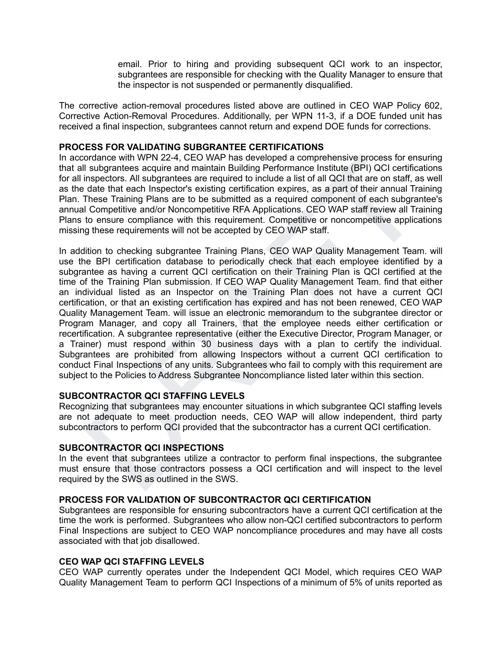email. Prior to hiring and providing subsequent QCI work to an inspector, subgrantees are responsible for checking with the Quality Manager to ensure that the inspector is not suspended or permanently disqualified.

The corrective action-removal procedures listed above are outlined in CEO WAP Policy 602, Corrective Action-Removal Procedures. Additionally, per WPN 11-3, if a DOE funded unit has received a final inspection, subgrantees cannot return and expend DOE funds for corrections.

### **PROCESS FOR VALIDATING SUBGRANTEE CERTIFICATIONS**

In accordance with WPN 22-4, CEO WAP has developed a comprehensive process for ensuring that all subgrantees acquire and maintain Building Performance Institute (BPI) QCI certifications for all inspectors. All subgrantees are required to include a list of all QCI that are on staff, as well as the date that each Inspector's existing certification expires, as a part of their annual Training Plan. These Training Plans are to be submitted as a required component of each subgrantee's annual Competitive and/or Noncompetitive RFA Applications. CEO WAP staff review all Training Plans to ensure compliance with this requirement. Competitive or noncompetitive applications missing these requirements will not be accepted by CEO WAP staff.

ordance with WPN 22-4, CEO WAP has developed a comprehensive process for ensuring<br>I subgrantees acquire and maintain Building Performance Institute (BPI) QCI certifications<br>inspectors. All subgrantees are required to inclu In addition to checking subgrantee Training Plans, CEO WAP Quality Management Team. will use the BPI certification database to periodically check that each employee identified by a subgrantee as having a current QCI certification on their Training Plan is QCI certified at the time of the Training Plan submission. If CEO WAP Quality Management Team. find that either an individual listed as an Inspector on the Training Plan does not have a current QCI certification, or that an existing certification has expired and has not been renewed, CEO WAP Quality Management Team. will issue an electronic memorandum to the subgrantee director or Program Manager, and copy all Trainers, that the employee needs either certification or recertification. A subgrantee representative (either the Executive Director, Program Manager, or a Trainer) must respond within 30 business days with a plan to certify the individual. Subgrantees are prohibited from allowing Inspectors without a current QCI certification to conduct Final Inspections of any units. Subgrantees who fail to comply with this requirement are subject to the Policies to Address Subgrantee Noncompliance listed later within this section.

# **SUBCONTRACTOR QCI STAFFING LEVELS**

Recognizing that subgrantees may encounter situations in which subgrantee QCI staffing levels are not adequate to meet production needs, CEO WAP will allow independent, third party subcontractors to perform QCI provided that the subcontractor has a current QCI certification.

# **SUBCONTRACTOR QCI INSPECTIONS**

In the event that subgrantees utilize a contractor to perform final inspections, the subgrantee must ensure that those contractors possess a QCI certification and will inspect to the level required by the SWS as outlined in the SWS.

# **PROCESS FOR VALIDATION OF SUBCONTRACTOR QCI CERTIFICATION**

Subgrantees are responsible for ensuring subcontractors have a current QCI certification at the time the work is performed. Subgrantees who allow non-QCI certified subcontractors to perform Final Inspections are subject to CEO WAP noncompliance procedures and may have all costs associated with that job disallowed.

# **CEO WAP QCI STAFFING LEVELS**

CEO WAP currently operates under the Independent QCI Model, which requires CEO WAP Quality Management Team to perform QCI Inspections of a minimum of 5% of units reported as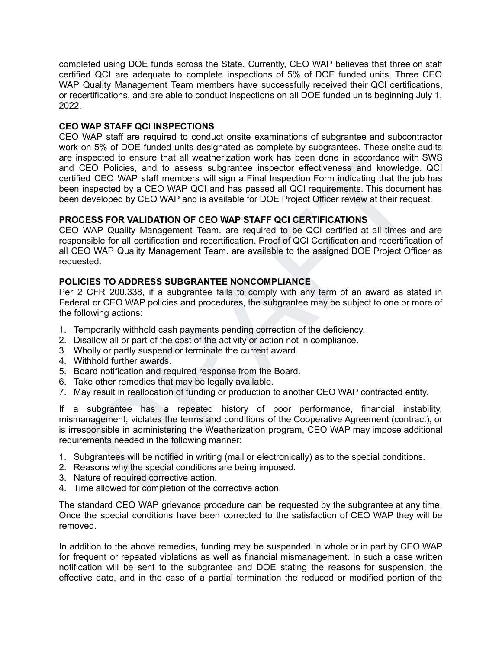completed using DOE funds across the State. Currently, CEO WAP believes that three on staff certified QCI are adequate to complete inspections of 5% of DOE funded units. Three CEO WAP Quality Management Team members have successfully received their QCI certifications, or recertifications, and are able to conduct inspections on all DOE funded units beginning July 1, 2022.

# **CEO WAP STAFF QCI INSPECTIONS**

spected to ensure that all weatherization work has been done in a accordance with SWS<br>ECO Policies, and to assess subgrantee inspector effectiveness and knowledge. QCI<br>of CEO WAP staff members will sign a Final Inspection CEO WAP staff are required to conduct onsite examinations of subgrantee and subcontractor work on 5% of DOE funded units designated as complete by subgrantees. These onsite audits are inspected to ensure that all weatherization work has been done in accordance with SWS and CEO Policies, and to assess subgrantee inspector effectiveness and knowledge. QCI certified CEO WAP staff members will sign a Final Inspection Form indicating that the job has been inspected by a CEO WAP QCI and has passed all QCI requirements. This document has been developed by CEO WAP and is available for DOE Project Officer review at their request.

# **PROCESS FOR VALIDATION OF CEO WAP STAFF QCI CERTIFICATIONS**

CEO WAP Quality Management Team. are required to be QCI certified at all times and are responsible for all certification and recertification. Proof of QCI Certification and recertification of all CEO WAP Quality Management Team. are available to the assigned DOE Project Officer as requested.

# **POLICIES TO ADDRESS SUBGRANTEE NONCOMPLIANCE**

Per 2 CFR 200.338, if a subgrantee fails to comply with any term of an award as stated in Federal or CEO WAP policies and procedures, the subgrantee may be subject to one or more of the following actions:

- 1. Temporarily withhold cash payments pending correction of the deficiency.
- 2. Disallow all or part of the cost of the activity or action not in compliance.
- 3. Wholly or partly suspend or terminate the current award.
- 4. Withhold further awards.
- 5. Board notification and required response from the Board.
- 6. Take other remedies that may be legally available.
- 7. May result in reallocation of funding or production to another CEO WAP contracted entity.

If a subgrantee has a repeated history of poor performance, financial instability, mismanagement, violates the terms and conditions of the Cooperative Agreement (contract), or is irresponsible in administering the Weatherization program, CEO WAP may impose additional requirements needed in the following manner:

- 1. Subgrantees will be notified in writing (mail or electronically) as to the special conditions.
- 2. Reasons why the special conditions are being imposed.
- 3. Nature of required corrective action.
- 4. Time allowed for completion of the corrective action.

The standard CEO WAP grievance procedure can be requested by the subgrantee at any time. Once the special conditions have been corrected to the satisfaction of CEO WAP they will be removed.

In addition to the above remedies, funding may be suspended in whole or in part by CEO WAP for frequent or repeated violations as well as financial mismanagement. In such a case written notification will be sent to the subgrantee and DOE stating the reasons for suspension, the effective date, and in the case of a partial termination the reduced or modified portion of the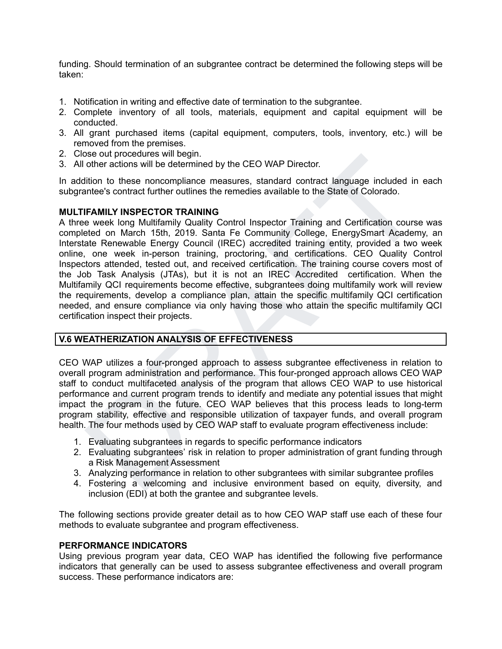funding. Should termination of an subgrantee contract be determined the following steps will be taken:

- 1. Notification in writing and effective date of termination to the subgrantee.
- 2. Complete inventory of all tools, materials, equipment and capital equipment will be conducted.
- 3. All grant purchased items (capital equipment, computers, tools, inventory, etc.) will be removed from the premises.
- 2. Close out procedures will begin.
- 3. All other actions will be determined by the CEO WAP Director.

In addition to these noncompliance measures, standard contract language included in each subgrantee's contract further outlines the remedies available to the State of Colorado.

### **MULTIFAMILY INSPECTOR TRAINING**

See out procedures will begin!<br>
the ractions will be determined by the CEO WAP Director.<br>
dition to these noncompliance measures, standard contract language included in each<br>
filtion to these noncompliance measures, standa A three week long Multifamily Quality Control Inspector Training and Certification course was completed on March 15th, 2019. Santa Fe Community College, EnergySmart Academy, an Interstate Renewable Energy Council (IREC) accredited training entity, provided a two week online, one week in-person training, proctoring, and certifications. CEO Quality Control Inspectors attended, tested out, and received certification. The training course covers most of the Job Task Analysis (JTAs), but it is not an IREC Accredited certification. When the Multifamily QCI requirements become effective, subgrantees doing multifamily work will review the requirements, develop a compliance plan, attain the specific multifamily QCI certification needed, and ensure compliance via only having those who attain the specific multifamily QCI certification inspect their projects.

# **V.6 WEATHERIZATION ANALYSIS OF EFFECTIVENESS**

CEO WAP utilizes a four-pronged approach to assess subgrantee effectiveness in relation to overall program administration and performance. This four-pronged approach allows CEO WAP staff to conduct multifaceted analysis of the program that allows CEO WAP to use historical performance and current program trends to identify and mediate any potential issues that might impact the program in the future. CEO WAP believes that this process leads to long-term program stability, effective and responsible utilization of taxpayer funds, and overall program health. The four methods used by CEO WAP staff to evaluate program effectiveness include:

- 1. Evaluating subgrantees in regards to specific performance indicators
- 2. Evaluating subgrantees' risk in relation to proper administration of grant funding through a Risk Management Assessment
- 3. Analyzing performance in relation to other subgrantees with similar subgrantee profiles
- 4. Fostering a welcoming and inclusive environment based on equity, diversity, and inclusion (EDI) at both the grantee and subgrantee levels.

The following sections provide greater detail as to how CEO WAP staff use each of these four methods to evaluate subgrantee and program effectiveness.

### **PERFORMANCE INDICATORS**

Using previous program year data, CEO WAP has identified the following five performance indicators that generally can be used to assess subgrantee effectiveness and overall program success. These performance indicators are: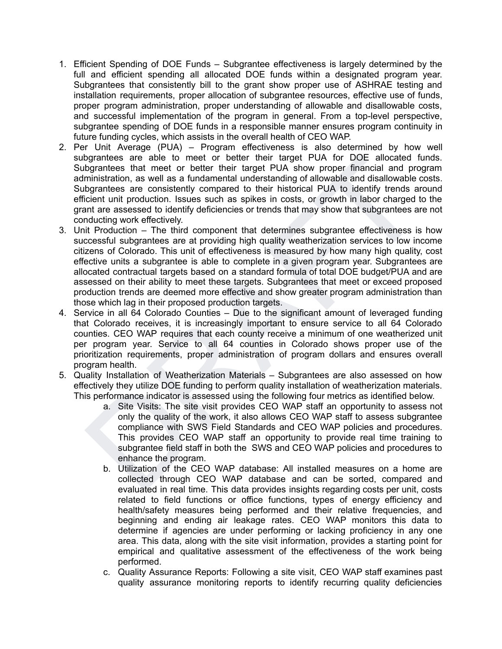- 1. Efficient Spending of DOE Funds Subgrantee effectiveness is largely determined by the full and efficient spending all allocated DOE funds within a designated program year. Subgrantees that consistently bill to the grant show proper use of ASHRAE testing and installation requirements, proper allocation of subgrantee resources, effective use of funds, proper program administration, proper understanding of allowable and disallowable costs, and successful implementation of the program in general. From a top-level perspective, subgrantee spending of DOE funds in a responsible manner ensures program continuity in future funding cycles, which assists in the overall health of CEO WAP.
- 2. Per Unit Average (PUA) Program effectiveness is also determined by how well subgrantees are able to meet or better their target PUA for DOE allocated funds. Subgrantees that meet or better their target PUA show proper financial and program administration, as well as a fundamental understanding of allowable and disallowable costs. Subgrantees are consistently compared to their historical PUA to identify trends around efficient unit production. Issues such as spikes in costs, or growth in labor charged to the grant are assessed to identify deficiencies or trends that may show that subgrantees are not conducting work effectively.
- by andrees are able to meet or better their target PUA for DDE allocated funds.<br>Bogarnetes that meet or better their target PUA show proper financial and program<br>ministration, as well as a fundamental understanding of allo 3. Unit Production – The third component that determines subgrantee effectiveness is how successful subgrantees are at providing high quality weatherization services to low income citizens of Colorado. This unit of effectiveness is measured by how many high quality, cost effective units a subgrantee is able to complete in a given program year. Subgrantees are allocated contractual targets based on a standard formula of total DOE budget/PUA and are assessed on their ability to meet these targets. Subgrantees that meet or exceed proposed production trends are deemed more effective and show greater program administration than those which lag in their proposed production targets.
- 4. Service in all 64 Colorado Counties Due to the significant amount of leveraged funding that Colorado receives, it is increasingly important to ensure service to all 64 Colorado counties. CEO WAP requires that each county receive a minimum of one weatherized unit per program year. Service to all 64 counties in Colorado shows proper use of the prioritization requirements, proper administration of program dollars and ensures overall program health.
- 5. Quality Installation of Weatherization Materials Subgrantees are also assessed on how effectively they utilize DOE funding to perform quality installation of weatherization materials. This performance indicator is assessed using the following four metrics as identified below.
	- a. Site Visits: The site visit provides CEO WAP staff an opportunity to assess not only the quality of the work, it also allows CEO WAP staff to assess subgrantee compliance with SWS Field Standards and CEO WAP policies and procedures. This provides CEO WAP staff an opportunity to provide real time training to subgrantee field staff in both the SWS and CEO WAP policies and procedures to enhance the program.
	- b. Utilization of the CEO WAP database: All installed measures on a home are collected through CEO WAP database and can be sorted, compared and evaluated in real time. This data provides insights regarding costs per unit, costs related to field functions or office functions, types of energy efficiency and health/safety measures being performed and their relative frequencies, and beginning and ending air leakage rates. CEO WAP monitors this data to determine if agencies are under performing or lacking proficiency in any one area. This data, along with the site visit information, provides a starting point for empirical and qualitative assessment of the effectiveness of the work being performed.
	- c. Quality Assurance Reports: Following a site visit, CEO WAP staff examines past quality assurance monitoring reports to identify recurring quality deficiencies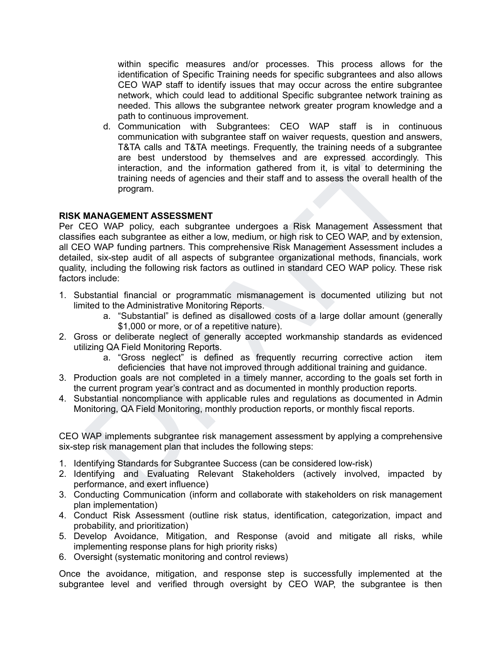within specific measures and/or processes. This process allows for the identification of Specific Training needs for specific subgrantees and also allows CEO WAP staff to identify issues that may occur across the entire subgrantee network, which could lead to additional Specific subgrantee network training as needed. This allows the subgrantee network greater program knowledge and a path to continuous improvement.

d. Communication with Subgrantees: CEO WAP staff is in continuous communication with subgrantee staff on waiver requests, question and answers, T&TA calls and T&TA meetings. Frequently, the training needs of a subgrantee are best understood by themselves and are expressed accordingly. This interaction, and the information gathered from it, is vital to determining the training needs of agencies and their staff and to assess the overall health of the program.

# **RISK MANAGEMENT ASSESSMENT**

are best understood by themeleves and are expressed accordingly. This virtual to determining the training needs of agencies and their staff and to assess the overall health of the program.<br>
MANAGEMENTA SSESSMENT<br>
MANAGEMEN Per CEO WAP policy, each subgrantee undergoes a Risk Management Assessment that classifies each subgrantee as either a low, medium, or high risk to CEO WAP, and by extension, all CEO WAP funding partners. This comprehensive Risk Management Assessment includes a detailed, six-step audit of all aspects of subgrantee organizational methods, financials, work quality, including the following risk factors as outlined in standard CEO WAP policy. These risk factors include:

- 1. Substantial financial or programmatic mismanagement is documented utilizing but not limited to the Administrative Monitoring Reports.
	- a. "Substantial" is defined as disallowed costs of a large dollar amount (generally \$1,000 or more, or of a repetitive nature).
- 2. Gross or deliberate neglect of generally accepted workmanship standards as evidenced utilizing QA Field Monitoring Reports.
	- a. "Gross neglect" is defined as frequently recurring corrective action item deficiencies that have not improved through additional training and guidance.
- 3. Production goals are not completed in a timely manner, according to the goals set forth in the current program year's contract and as documented in monthly production reports.
- 4. Substantial noncompliance with applicable rules and regulations as documented in Admin Monitoring, QA Field Monitoring, monthly production reports, or monthly fiscal reports.

CEO WAP implements subgrantee risk management assessment by applying a comprehensive six-step risk management plan that includes the following steps:

- 1. Identifying Standards for Subgrantee Success (can be considered low-risk)
- 2. Identifying and Evaluating Relevant Stakeholders (actively involved, impacted by performance, and exert influence)
- 3. Conducting Communication (inform and collaborate with stakeholders on risk management plan implementation)
- 4. Conduct Risk Assessment (outline risk status, identification, categorization, impact and probability, and prioritization)
- 5. Develop Avoidance, Mitigation, and Response (avoid and mitigate all risks, while implementing response plans for high priority risks)
- 6. Oversight (systematic monitoring and control reviews)

Once the avoidance, mitigation, and response step is successfully implemented at the subgrantee level and verified through oversight by CEO WAP, the subgrantee is then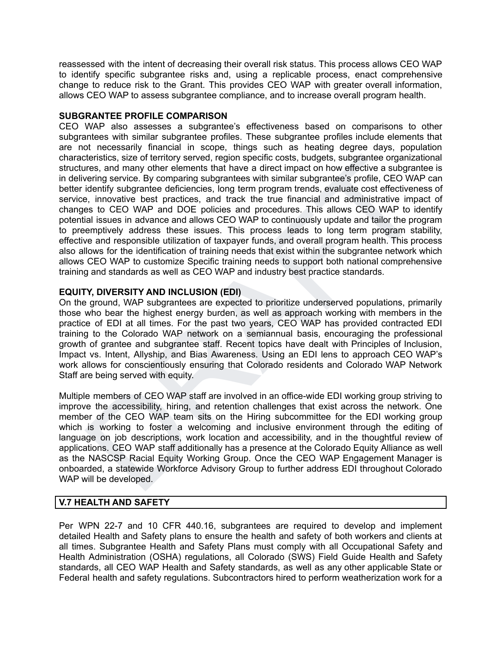reassessed with the intent of decreasing their overall risk status. This process allows CEO WAP to identify specific subgrantee risks and, using a replicable process, enact comprehensive change to reduce risk to the Grant. This provides CEO WAP with greater overall information, allows CEO WAP to assess subgrantee compliance, and to increase overall program health.

### **SUBGRANTEE PROFILE COMPARISON**

teristics, size of ferritory served, region specific costs, budgets, subgrantee organizational<br>ters, and many other elements that have a direct impact on how effective a subgrantee is<br>vering service. By comparing subgrante CEO WAP also assesses a subgrantee's effectiveness based on comparisons to other subgrantees with similar subgrantee profiles. These subgrantee profiles include elements that are not necessarily financial in scope, things such as heating degree days, population characteristics, size of territory served, region specific costs, budgets, subgrantee organizational structures, and many other elements that have a direct impact on how effective a subgrantee is in delivering service. By comparing subgrantees with similar subgrantee's profile, CEO WAP can better identify subgrantee deficiencies, long term program trends, evaluate cost effectiveness of service, innovative best practices, and track the true financial and administrative impact of changes to CEO WAP and DOE policies and procedures. This allows CEO WAP to identify potential issues in advance and allows CEO WAP to continuously update and tailor the program to preemptively address these issues. This process leads to long term program stability, effective and responsible utilization of taxpayer funds, and overall program health. This process also allows for the identification of training needs that exist within the subgrantee network which allows CEO WAP to customize Specific training needs to support both national comprehensive training and standards as well as CEO WAP and industry best practice standards.

# **EQUITY, DIVERSITY AND INCLUSION (EDI)**

On the ground, WAP subgrantees are expected to prioritize underserved populations, primarily those who bear the highest energy burden, as well as approach working with members in the practice of EDI at all times. For the past two years, CEO WAP has provided contracted EDI training to the Colorado WAP network on a semiannual basis, encouraging the professional growth of grantee and subgrantee staff. Recent topics have dealt with Principles of Inclusion, Impact vs. Intent, Allyship, and Bias Awareness. Using an EDI lens to approach CEO WAP's work allows for conscientiously ensuring that Colorado residents and Colorado WAP Network Staff are being served with equity.

Multiple members of CEO WAP staff are involved in an office-wide EDI working group striving to improve the accessibility, hiring, and retention challenges that exist across the network. One member of the CEO WAP team sits on the Hiring subcommittee for the EDI working group which is working to foster a welcoming and inclusive environment through the editing of language on job descriptions, work location and accessibility, and in the thoughtful review of applications. CEO WAP staff additionally has a presence at the Colorado Equity Alliance as well as the NASCSP Racial Equity Working Group. Once the CEO WAP Engagement Manager is onboarded, a statewide Workforce Advisory Group to further address EDI throughout Colorado WAP will be developed.

# **V.7 HEALTH AND SAFETY**

Per WPN 22-7 and 10 CFR 440.16, subgrantees are required to develop and implement detailed Health and Safety plans to ensure the health and safety of both workers and clients at all times. Subgrantee Health and Safety Plans must comply with all Occupational Safety and Health Administration (OSHA) regulations, all Colorado (SWS) Field Guide Health and Safety standards, all CEO WAP Health and Safety standards, as well as any other applicable State or Federal health and safety regulations. Subcontractors hired to perform weatherization work for a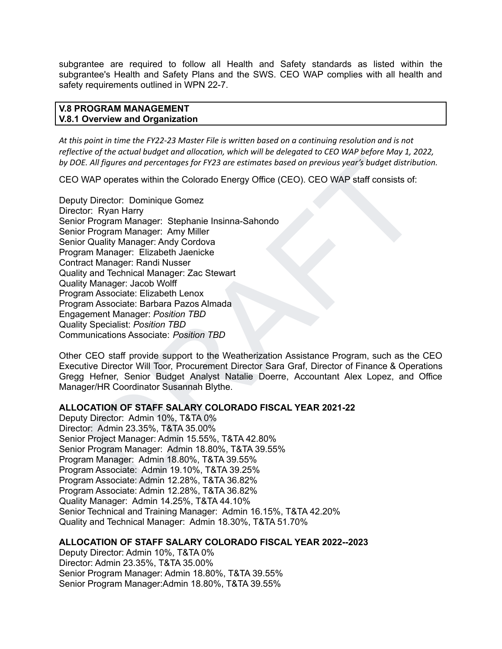subgrantee are required to follow all Health and Safety standards as listed within the subgrantee's Health and Safety Plans and the SWS. CEO WAP complies with all health and safety requirements outlined in WPN 22-7.

### **V.8 PROGRAM MANAGEMENT V.8.1 Overview and Organization**

At this point in time the FY22-23 Master File is written based on a continuing resolution and is not reflective of the actual budget and allocation, which will be delegated to CEO WAP before May 1, 2022, *by DOE. All figures and percentages for FY23 are estimates based on previous year's budget distribution.*

CEO WAP operates within the Colorado Energy Office (CEO). CEO WAP staff consists of:

For a transmission of the Corollam and the Corollam and the Corollam and the Corollam of the Corollam of the Corollam of the Corollam of the Corollam of the Corollam of the Corollam Corollam Provides for the Program Manage Deputy Director: Dominique Gomez Director: Ryan Harry Senior Program Manager: Stephanie Insinna-Sahondo Senior Program Manager: Amy Miller Senior Quality Manager: Andy Cordova Program Manager: Elizabeth Jaenicke Contract Manager: Randi Nusser Quality and Technical Manager: Zac Stewart Quality Manager: Jacob Wolff Program Associate: Elizabeth Lenox Program Associate: Barbara Pazos Almada Engagement Manager: *Position TBD* Quality Specialist: *Position TBD* Communications Associate: *Position TBD*

Other CEO staff provide support to the Weatherization Assistance Program, such as the CEO Executive Director Will Toor, Procurement Director Sara Graf, Director of Finance & Operations Gregg Hefner, Senior Budget Analyst Natalie Doerre, Accountant Alex Lopez, and Office Manager/HR Coordinator Susannah Blythe.

# **ALLOCATION OF STAFF SALARY COLORADO FISCAL YEAR 2021-22**

Deputy Director: Admin 10%, T&TA 0% Director: Admin 23.35%, T&TA 35.00% Senior Project Manager: Admin 15.55%, T&TA 42.80% Senior Program Manager: Admin 18.80%, T&TA 39.55% Program Manager: Admin 18.80%, T&TA 39.55% Program Associate: Admin 19.10%, T&TA 39.25% Program Associate: Admin 12.28%, T&TA 36.82% Program Associate: Admin 12.28%, T&TA 36.82% Quality Manager: Admin 14.25%, T&TA 44.10% Senior Technical and Training Manager: Admin 16.15%, T&TA 42.20% Quality and Technical Manager: Admin 18.30%, T&TA 51.70%

# **ALLOCATION OF STAFF SALARY COLORADO FISCAL YEAR 2022--2023**

Deputy Director: Admin 10%, T&TA 0% Director: Admin 23.35%, T&TA 35.00% Senior Program Manager: Admin 18.80%, T&TA 39.55% Senior Program Manager:Admin 18.80%, T&TA 39.55%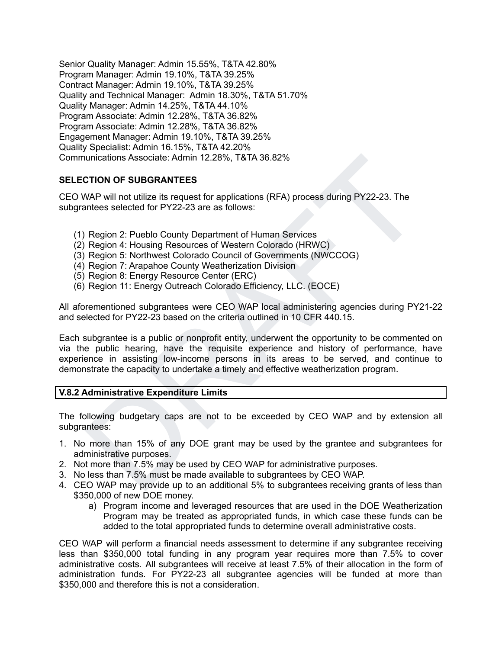Senior Quality Manager: Admin 15.55%, T&TA 42.80% Program Manager: Admin 19.10%, T&TA 39.25% Contract Manager: Admin 19.10%, T&TA 39.25% Quality and Technical Manager: Admin 18.30%, T&TA 51.70% Quality Manager: Admin 14.25%, T&TA 44.10% Program Associate: Admin 12.28%, T&TA 36.82% Program Associate: Admin 12.28%, T&TA 36.82% Engagement Manager: Admin 19.10%, T&TA 39.25% Quality Specialist: Admin 16.15%, T&TA 42.20% Communications Associate: Admin 12.28%, T&TA 36.82%

# **SELECTION OF SUBGRANTEES**

CEO WAP will not utilize its request for applications (RFA) process during PY22-23. The subgrantees selected for PY22-23 are as follows:

- (1) Region 2: Pueblo County Department of Human Services
- (2) Region 4: Housing Resources of Western Colorado (HRWC)
- (3) Region 5: Northwest Colorado Council of Governments (NWCCOG)
- (4) Region 7: Arapahoe County Weatherization Division
- (5) Region 8: Energy Resource Center (ERC)
- (6) Region 11: Energy Outreach Colorado Efficiency, LLC. (EOCE)

All aforementioned subgrantees were CEO WAP local administering agencies during PY21-22 and selected for PY22-23 based on the criteria outlined in 10 CFR 440.15.

unications Associate: Admin 12.28%, T&TA 36.82%<br>
CTION OF SUBGRANTEES<br>
WAP will not utilize its request for applications (RFA) process during PY22-23. The<br>
metees selected for PY22-23 are as follows:<br>
Region 4: Housing Res Each subgrantee is a public or nonprofit entity, underwent the opportunity to be commented on via the public hearing, have the requisite experience and history of performance, have experience in assisting low-income persons in its areas to be served, and continue to demonstrate the capacity to undertake a timely and effective weatherization program.

### **V.8.2 Administrative Expenditure Limits**

The following budgetary caps are not to be exceeded by CEO WAP and by extension all subgrantees:

- 1. No more than 15% of any DOE grant may be used by the grantee and subgrantees for administrative purposes.
- 2. Not more than 7.5% may be used by CEO WAP for administrative purposes.
- 3. No less than 7.5% must be made available to subgrantees by CEO WAP.
- 4. CEO WAP may provide up to an additional 5% to subgrantees receiving grants of less than \$350,000 of new DOE money.
	- a) Program income and leveraged resources that are used in the DOE Weatherization Program may be treated as appropriated funds, in which case these funds can be added to the total appropriated funds to determine overall administrative costs.

CEO WAP will perform a financial needs assessment to determine if any subgrantee receiving less than \$350,000 total funding in any program year requires more than 7.5% to cover administrative costs. All subgrantees will receive at least 7.5% of their allocation in the form of administration funds. For PY22-23 all subgrantee agencies will be funded at more than \$350,000 and therefore this is not a consideration.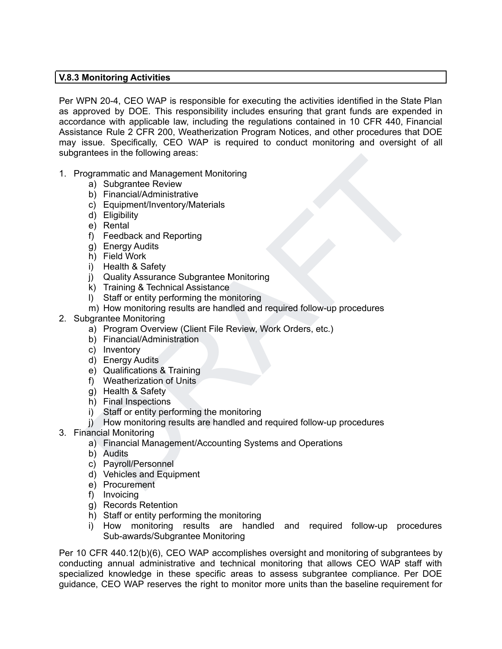# **V.8.3 Monitoring Activities**

Per WPN 20-4, CEO WAP is responsible for executing the activities identified in the State Plan as approved by DOE. This responsibility includes ensuring that grant funds are expended in accordance with applicable law, including the regulations contained in 10 CFR 440, Financial Assistance Rule 2 CFR 200, Weatherization Program Notices, and other procedures that DOE may issue. Specifically, CEO WAP is required to conduct monitoring and oversight of all subgrantees in the following areas:

- 1. Programmatic and Management Monitoring
	- a) Subgrantee Review
	- b) Financial/Administrative
	- c) Equipment/Inventory/Materials
	- d) Eligibility
	- e) Rental
	- f) Feedback and Reporting
	- g) Energy Audits
	- h) Field Work
	- i) Health & Safety
	- j) Quality Assurance Subgrantee Monitoring
	- k) Training & Technical Assistance
	- l) Staff or entity performing the monitoring
- sinces in the unionwing areas.<br>
a) Subgrante Review<br>
b) Financial/Administrative<br>
b) Financial/Administrative<br>
c) Equipment/Inventory/Materials<br>
e) Rental<br>
f) Field Work<br>
h) Field Work<br>
h) Field Work<br>
h) Field Work<br>
h) Tri m) How monitoring results are handled and required follow-up procedures
- 2. Subgrantee Monitoring
	- a) Program Overview (Client File Review, Work Orders, etc.)
	- b) Financial/Administration
	- c) Inventory
	- d) Energy Audits
	- e) Qualifications & Training
	- f) Weatherization of Units
	- g) Health & Safety
	- h) Final Inspections
	- i) Staff or entity performing the monitoring
	- j) How monitoring results are handled and required follow-up procedures
- 3. Financial Monitoring
	- a) Financial Management/Accounting Systems and Operations
	- b) Audits
	- c) Payroll/Personnel
	- d) Vehicles and Equipment
	- e) Procurement
	- f) Invoicing
	- g) Records Retention
	- h) Staff or entity performing the monitoring
	- i) How monitoring results are handled and required follow-up procedures Sub-awards/Subgrantee Monitoring

Per 10 CFR 440.12(b)(6), CEO WAP accomplishes oversight and monitoring of subgrantees by conducting annual administrative and technical monitoring that allows CEO WAP staff with specialized knowledge in these specific areas to assess subgrantee compliance. Per DOE guidance, CEO WAP reserves the right to monitor more units than the baseline requirement for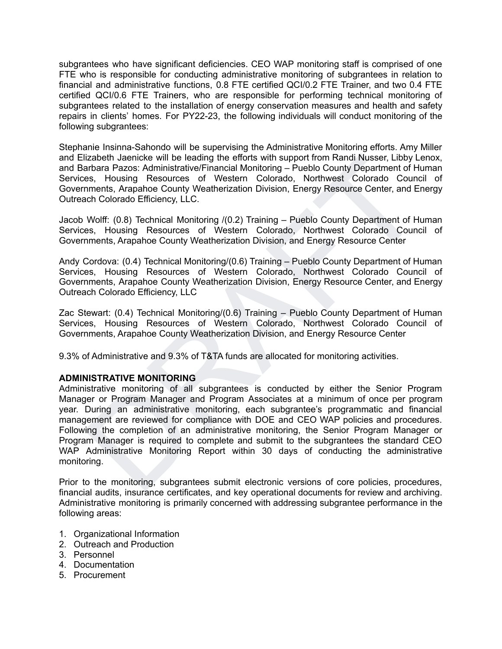subgrantees who have significant deficiencies. CEO WAP monitoring staff is comprised of one FTE who is responsible for conducting administrative monitoring of subgrantees in relation to financial and administrative functions, 0.8 FTE certified QCI/0.2 FTE Trainer, and two 0.4 FTE certified QCI/0.6 FTE Trainers, who are responsible for performing technical monitoring of subgrantees related to the installation of energy conservation measures and health and safety repairs in clients' homes. For PY22-23, the following individuals will conduct monitoring of the following subgrantees:

Stephanie Insinna-Sahondo will be supervising the Administrative Monitoring efforts. Amy Miller and Elizabeth Jaenicke will be leading the efforts with support from Randi Nusser, Libby Lenox, and Barbara Pazos: Administrative/Financial Monitoring – Pueblo County Department of Human Services, Housing Resources of Western Colorado, Northwest Colorado Council of Governments, Arapahoe County Weatherization Division, Energy Resource Center, and Energy Outreach Colorado Efficiency, LLC.

Jacob Wolff: (0.8) Technical Monitoring /(0.2) Training – Pueblo County Department of Human Services, Housing Resources of Western Colorado, Northwest Colorado Council of Governments, Arapahoe County Weatherization Division, and Energy Resource Center

Andy Cordova: (0.4) Technical Monitoring/(0.6) Training – Pueblo County Department of Human Services, Housing Resources of Western Colorado, Northwest Colorado Council of Governments, Arapahoe County Weatherization Division, Energy Resource Center, and Energy Outreach Colorado Efficiency, LLC

Zac Stewart: (0.4) Technical Monitoring/(0.6) Training – Pueblo County Department of Human Services, Housing Resources of Western Colorado, Northwest Colorado Council of Governments, Arapahoe County Weatherization Division, and Energy Resource Center

9.3% of Administrative and 9.3% of T&TA funds are allocated for monitoring activities.

# **ADMINISTRATIVE MONITORING**

lizabeth Jennichée will be leading the efforts with support from Randi Nusser, Libby Lenox, and<br>arbara Pazos: Administrative/Financial Monitoring – Pueblo County Department of Human<br>es, Housing Resources of Western Colorad Administrative monitoring of all subgrantees is conducted by either the Senior Program Manager or Program Manager and Program Associates at a minimum of once per program year. During an administrative monitoring, each subgrantee's programmatic and financial management are reviewed for compliance with DOE and CEO WAP policies and procedures. Following the completion of an administrative monitoring, the Senior Program Manager or Program Manager is required to complete and submit to the subgrantees the standard CEO WAP Administrative Monitoring Report within 30 days of conducting the administrative monitoring.

Prior to the monitoring, subgrantees submit electronic versions of core policies, procedures, financial audits, insurance certificates, and key operational documents for review and archiving. Administrative monitoring is primarily concerned with addressing subgrantee performance in the following areas:

- 1. Organizational Information
- 2. Outreach and Production
- 3. Personnel
- 4. Documentation
- 5. Procurement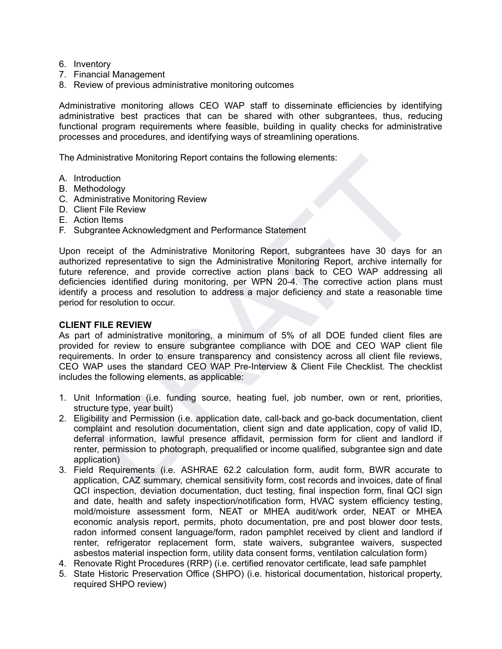- 6. Inventory
- 7. Financial Management
- 8. Review of previous administrative monitoring outcomes

Administrative monitoring allows CEO WAP staff to disseminate efficiencies by identifying administrative best practices that can be shared with other subgrantees, thus, reducing functional program requirements where feasible, building in quality checks for administrative processes and procedures, and identifying ways of streamlining operations.

The Administrative Monitoring Report contains the following elements:

- A. Introduction
- B. Methodology
- C. Administrative Monitoring Review
- D. Client File Review
- E. Action Items
- F. Subgrantee Acknowledgment and Performance Statement

munistrative Monitoring Report contains the following elements:<br>
richatoion<br>
richatoion<br>
richatoion<br>
richately externed in the Review<br>
tion literative Monitoring Review<br>
tion literative Monitoring Review<br>
tion literative m Upon receipt of the Administrative Monitoring Report, subgrantees have 30 days for an authorized representative to sign the Administrative Monitoring Report, archive internally for future reference, and provide corrective action plans back to CEO WAP addressing all deficiencies identified during monitoring, per WPN 20-4. The corrective action plans must identify a process and resolution to address a major deficiency and state a reasonable time period for resolution to occur.

### **CLIENT FILE REVIEW**

As part of administrative monitoring, a minimum of 5% of all DOE funded client files are provided for review to ensure subgrantee compliance with DOE and CEO WAP client file requirements. In order to ensure transparency and consistency across all client file reviews, CEO WAP uses the standard CEO WAP Pre-Interview & Client File Checklist. The checklist includes the following elements, as applicable:

- 1. Unit Information (i.e. funding source, heating fuel, job number, own or rent, priorities, structure type, year built)
- 2. Eligibility and Permission (i.e. application date, call-back and go-back documentation, client complaint and resolution documentation, client sign and date application, copy of valid ID, deferral information, lawful presence affidavit, permission form for client and landlord if renter, permission to photograph, prequalified or income qualified, subgrantee sign and date application)
- 3. Field Requirements (i.e. ASHRAE 62.2 calculation form, audit form, BWR accurate to application, CAZ summary, chemical sensitivity form, cost records and invoices, date of final QCI inspection, deviation documentation, duct testing, final inspection form, final QCI sign and date, health and safety inspection/notification form, HVAC system efficiency testing, mold/moisture assessment form, NEAT or MHEA audit/work order, NEAT or MHEA economic analysis report, permits, photo documentation, pre and post blower door tests, radon informed consent language/form, radon pamphlet received by client and landlord if renter, refrigerator replacement form, state waivers, subgrantee waivers, suspected asbestos material inspection form, utility data consent forms, ventilation calculation form)
- 4. Renovate Right Procedures (RRP) (i.e. certified renovator certificate, lead safe pamphlet
- 5. State Historic Preservation Office (SHPO) (i.e. historical documentation, historical property, required SHPO review)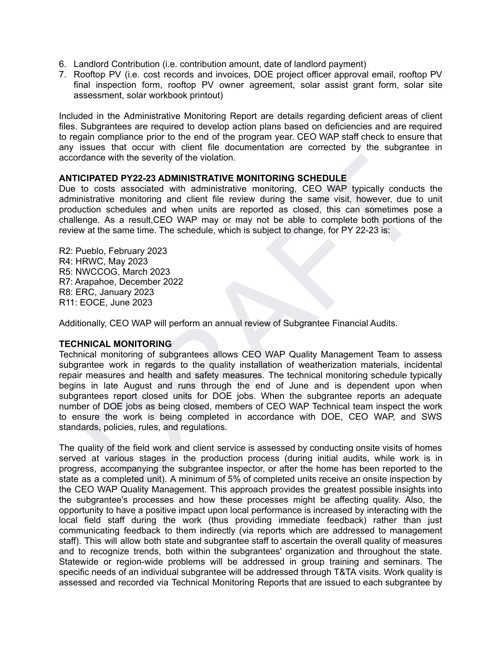- 6. Landlord Contribution (i.e. contribution amount, date of landlord payment)
- 7. Rooftop PV (i.e. cost records and invoices, DOE project officer approval email, rooftop PV final inspection form, rooftop PV owner agreement, solar assist grant form, solar site assessment, solar workbook printout)

Included in the Administrative Monitoring Report are details regarding deficient areas of client files. Subgrantees are required to develop action plans based on deficiencies and are required to regain compliance prior to the end of the program year. CEO WAP staff check to ensure that any issues that occur with client file documentation are corrected by the subgrantee in accordance with the severity of the violation.

### **ANTICIPATED PY22-23 ADMINISTRATIVE MONITORING SCHEDULE**

Due to costs associated with administrative monitoring, CEO WAP typically conducts the administrative monitoring and client file review during the same visit, however, due to unit production schedules and when units are reported as closed, this can sometimes pose a challenge. As a result,CEO WAP may or may not be able to complete both portions of the review at the same time. The schedule, which is subject to change, for PY 22-23 is:

R2: Pueblo, February 2023 R4: HRWC, May 2023 R5: NWCCOG, March 2023 R7: Arapahoe, December 2022 R8: ERC, January 2023 R11: EOCE, June 2023

Additionally, CEO WAP will perform an annual review of Subgrantee Financial Audits.

# **TECHNICAL MONITORING**

fance with the severity of the violation.<br>
2D Costs associated with arministrative monitoring. GEO WAP typically conducts the<br>
listrative monitoring and client file review during the same visit, however, due to unit<br>
sistr Technical monitoring of subgrantees allows CEO WAP Quality Management Team to assess subgrantee work in regards to the quality installation of weatherization materials, incidental repair measures and health and safety measures. The technical monitoring schedule typically begins in late August and runs through the end of June and is dependent upon when subgrantees report closed units for DOE jobs. When the subgrantee reports an adequate number of DOE jobs as being closed, members of CEO WAP Technical team inspect the work to ensure the work is being completed in accordance with DOE, CEO WAP, and SWS standards, policies, rules, and regulations.

The quality of the field work and client service is assessed by conducting onsite visits of homes served at various stages in the production process (during initial audits, while work is in progress, accompanying the subgrantee inspector, or after the home has been reported to the state as a completed unit). A minimum of 5% of completed units receive an onsite inspection by the CEO WAP Quality Management. This approach provides the greatest possible insights into the subgrantee's processes and how these processes might be affecting quality. Also, the opportunity to have a positive impact upon local performance is increased by interacting with the local field staff during the work (thus providing immediate feedback) rather than just communicating feedback to them indirectly (via reports which are addressed to management staff). This will allow both state and subgrantee staff to ascertain the overall quality of measures and to recognize trends, both within the subgrantees' organization and throughout the state. Statewide or region-wide problems will be addressed in group training and seminars. The specific needs of an individual subgrantee will be addressed through T&TA visits. Work quality is assessed and recorded via Technical Monitoring Reports that are issued to each subgrantee by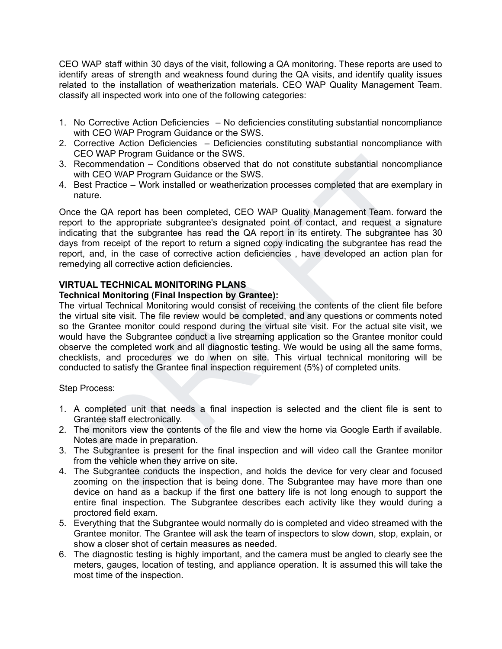CEO WAP staff within 30 days of the visit, following a QA monitoring. These reports are used to identify areas of strength and weakness found during the QA visits, and identify quality issues related to the installation of weatherization materials. CEO WAP Quality Management Team. classify all inspected work into one of the following categories:

- 1. No Corrective Action Deficiencies No deficiencies constituting substantial noncompliance with CEO WAP Program Guidance or the SWS.
- 2. Corrective Action Deficiencies Deficiencies constituting substantial noncompliance with CEO WAP Program Guidance or the SWS.
- 3. Recommendation Conditions observed that do not constitute substantial noncompliance with CEO WAP Program Guidance or the SWS.
- 4. Best Practice Work installed or weatherization processes completed that are exemplary in nature.

Once the QA report has been completed, CEO WAP Quality Management Team. forward the report to the appropriate subgrantee's designated point of contact, and request a signature indicating that the subgrantee has read the QA report in its entirety. The subgrantee has 30 days from receipt of the report to return a signed copy indicating the subgrantee has read the report, and, in the case of corrective action deficiencies , have developed an action plan for remedying all corrective action deficiencies.

# **VIRTUAL TECHNICAL MONITORING PLANS**

### **Technical Monitoring (Final Inspection by Grantee):**

-U www.Program Guidantee of the Sws.<br>
For WerPogram Guidantee of the Sws.<br>
The CEO WAP Program Guidantee or the SWS.<br>
In CEO WAP Cuality Management Team, forward the CEO WAP Cuality Management Team, forward the<br>
the CA rep The virtual Technical Monitoring would consist of receiving the contents of the client file before the virtual site visit. The file review would be completed, and any questions or comments noted so the Grantee monitor could respond during the virtual site visit. For the actual site visit, we would have the Subgrantee conduct a live streaming application so the Grantee monitor could observe the completed work and all diagnostic testing. We would be using all the same forms, checklists, and procedures we do when on site. This virtual technical monitoring will be conducted to satisfy the Grantee final inspection requirement (5%) of completed units.

Step Process:

- 1. A completed unit that needs a final inspection is selected and the client file is sent to Grantee staff electronically.
- 2. The monitors view the contents of the file and view the home via Google Earth if available. Notes are made in preparation.
- 3. The Subgrantee is present for the final inspection and will video call the Grantee monitor from the vehicle when they arrive on site.
- 4. The Subgrantee conducts the inspection, and holds the device for very clear and focused zooming on the inspection that is being done. The Subgrantee may have more than one device on hand as a backup if the first one battery life is not long enough to support the entire final inspection. The Subgrantee describes each activity like they would during a proctored field exam.
- 5. Everything that the Subgrantee would normally do is completed and video streamed with the Grantee monitor. The Grantee will ask the team of inspectors to slow down, stop, explain, or show a closer shot of certain measures as needed.
- 6. The diagnostic testing is highly important, and the camera must be angled to clearly see the meters, gauges, location of testing, and appliance operation. It is assumed this will take the most time of the inspection.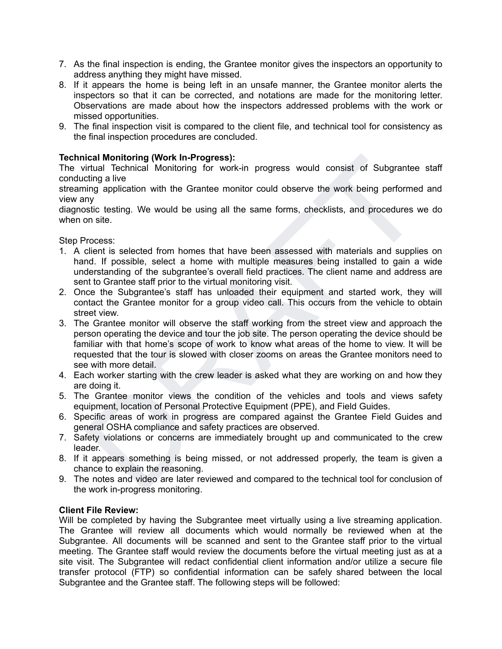- 7. As the final inspection is ending, the Grantee monitor gives the inspectors an opportunity to address anything they might have missed.
- 8. If it appears the home is being left in an unsafe manner, the Grantee monitor alerts the inspectors so that it can be corrected, and notations are made for the monitoring letter. Observations are made about how the inspectors addressed problems with the work or missed opportunities.
- 9. The final inspection visit is compared to the client file, and technical tool for consistency as the final inspection procedures are concluded.

# **Technical Monitoring (Work In-Progress):**

The virtual Technical Monitoring for work-in progress would consist of Subgrantee staff conducting a live

streaming application with the Grantee monitor could observe the work being performed and view any

diagnostic testing. We would be using all the same forms, checklists, and procedures we do when on site.

Step Process:

- 1. A client is selected from homes that have been assessed with materials and supplies on hand. If possible, select a home with multiple measures being installed to gain a wide understanding of the subgrantee's overall field practices. The client name and address are sent to Grantee staff prior to the virtual monitoring visit.
- 2. Once the Subgrantee's staff has unloaded their equipment and started work, they will contact the Grantee monitor for a group video call. This occurs from the vehicle to obtain street view.
- ical Monitoring (Work In-Progress):<br>
iritual Technical Monitoring (Work In-Progress would consist of Subgrantee staff<br>
cirgin alive<br>
iritual Technical Monitoring for work-in progress would consist of Subgrantee staff<br>
city 3. The Grantee monitor will observe the staff working from the street view and approach the person operating the device and tour the job site. The person operating the device should be familiar with that home's scope of work to know what areas of the home to view. It will be requested that the tour is slowed with closer zooms on areas the Grantee monitors need to see with more detail.
- 4. Each worker starting with the crew leader is asked what they are working on and how they are doing it.
- 5. The Grantee monitor views the condition of the vehicles and tools and views safety equipment, location of Personal Protective Equipment (PPE), and Field Guides.
- 6. Specific areas of work in progress are compared against the Grantee Field Guides and general OSHA compliance and safety practices are observed.
- 7. Safety violations or concerns are immediately brought up and communicated to the crew leader.
- 8. If it appears something is being missed, or not addressed properly, the team is given a chance to explain the reasoning.
- 9. The notes and video are later reviewed and compared to the technical tool for conclusion of the work in-progress monitoring.

# **Client File Review:**

Will be completed by having the Subgrantee meet virtually using a live streaming application. The Grantee will review all documents which would normally be reviewed when at the Subgrantee. All documents will be scanned and sent to the Grantee staff prior to the virtual meeting. The Grantee staff would review the documents before the virtual meeting just as at a site visit. The Subgrantee will redact confidential client information and/or utilize a secure file transfer protocol (FTP) so confidential information can be safely shared between the local Subgrantee and the Grantee staff. The following steps will be followed: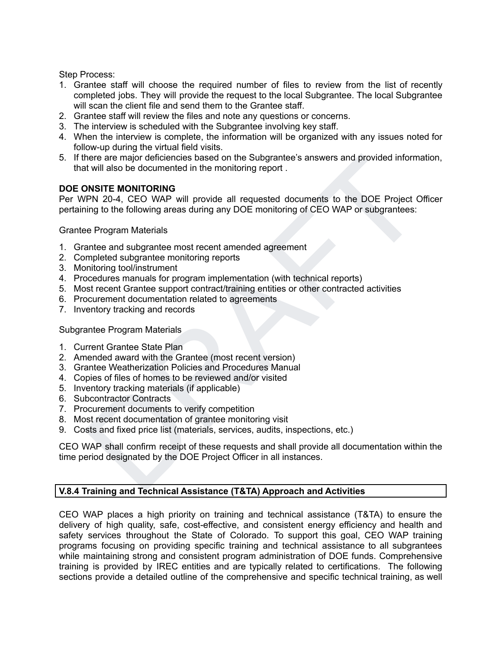Step Process:

- 1. Grantee staff will choose the required number of files to review from the list of recently completed jobs. They will provide the request to the local Subgrantee. The local Subgrantee will scan the client file and send them to the Grantee staff.
- 2. Grantee staff will review the files and note any questions or concerns.
- 3. The interview is scheduled with the Subgrantee involving key staff.
- 4. When the interview is complete, the information will be organized with any issues noted for follow-up during the virtual field visits.
- 5. If there are major deficiencies based on the Subgrantee's answers and provided information, that will also be documented in the monitoring report .

### **DOE ONSITE MONITORING**

here are major deficiencies based on the Subgrantee's answers and provided information,<br>the vill also be documented in the monitoring report.<br>
The Value of the DOE Project Officer<br>
PIPN 20-4, CEO WAP will provide all reque Per WPN 20-4, CEO WAP will provide all requested documents to the DOE Project Officer pertaining to the following areas during any DOE monitoring of CEO WAP or subgrantees:

Grantee Program Materials

- 1. Grantee and subgrantee most recent amended agreement
- 2. Completed subgrantee monitoring reports
- 3. Monitoring tool/instrument
- 4. Procedures manuals for program implementation (with technical reports)
- 5. Most recent Grantee support contract/training entities or other contracted activities
- 6. Procurement documentation related to agreements
- 7. Inventory tracking and records

# Subgrantee Program Materials

- 1. Current Grantee State Plan
- 2. Amended award with the Grantee (most recent version)
- 3. Grantee Weatherization Policies and Procedures Manual
- 4. Copies of files of homes to be reviewed and/or visited
- 5. Inventory tracking materials (if applicable)
- 6. Subcontractor Contracts
- 7. Procurement documents to verify competition
- 8. Most recent documentation of grantee monitoring visit
- 9. Costs and fixed price list (materials, services, audits, inspections, etc.)

CEO WAP shall confirm receipt of these requests and shall provide all documentation within the time period designated by the DOE Project Officer in all instances.

# **V.8.4 Training and Technical Assistance (T&TA) Approach and Activities**

CEO WAP places a high priority on training and technical assistance (T&TA) to ensure the delivery of high quality, safe, cost-effective, and consistent energy efficiency and health and safety services throughout the State of Colorado. To support this goal, CEO WAP training programs focusing on providing specific training and technical assistance to all subgrantees while maintaining strong and consistent program administration of DOE funds. Comprehensive training is provided by IREC entities and are typically related to certifications. The following sections provide a detailed outline of the comprehensive and specific technical training, as well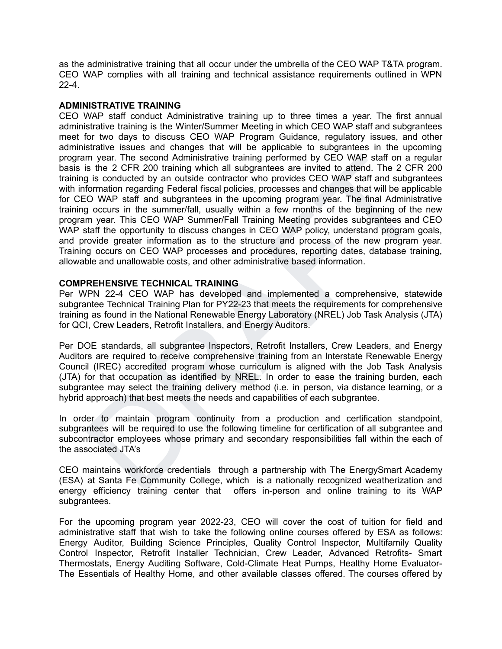as the administrative training that all occur under the umbrella of the CEO WAP T&TA program. CEO WAP complies with all training and technical assistance requirements outlined in WPN  $22 - 4$ 

### **ADMINISTRATIVE TRAINING**

m year. The second Administrative training performed by CEO WAP staff on a regular<br>is the 2 CFR 200 training which all subgrantees are invited to attent. The 2 CFR 200<br>information regarding Federal fiscal policies, process CEO WAP staff conduct Administrative training up to three times a year. The first annual administrative training is the Winter/Summer Meeting in which CEO WAP staff and subgrantees meet for two days to discuss CEO WAP Program Guidance, regulatory issues, and other administrative issues and changes that will be applicable to subgrantees in the upcoming program year. The second Administrative training performed by CEO WAP staff on a regular basis is the 2 CFR 200 training which all subgrantees are invited to attend. The 2 CFR 200 training is conducted by an outside contractor who provides CEO WAP staff and subgrantees with information regarding Federal fiscal policies, processes and changes that will be applicable for CEO WAP staff and subgrantees in the upcoming program year. The final Administrative training occurs in the summer/fall, usually within a few months of the beginning of the new program year. This CEO WAP Summer/Fall Training Meeting provides subgrantees and CEO WAP staff the opportunity to discuss changes in CEO WAP policy, understand program goals, and provide greater information as to the structure and process of the new program year. Training occurs on CEO WAP processes and procedures, reporting dates, database training, allowable and unallowable costs, and other administrative based information.

### **COMPREHENSIVE TECHNICAL TRAINING**

Per WPN 22-4 CEO WAP has developed and implemented a comprehensive, statewide subgrantee Technical Training Plan for PY22-23 that meets the requirements for comprehensive training as found in the National Renewable Energy Laboratory (NREL) Job Task Analysis (JTA) for QCI, Crew Leaders, Retrofit Installers, and Energy Auditors.

Per DOE standards, all subgrantee Inspectors, Retrofit Installers, Crew Leaders, and Energy Auditors are required to receive comprehensive training from an Interstate Renewable Energy Council (IREC) accredited program whose curriculum is aligned with the Job Task Analysis (JTA) for that occupation as identified by NREL. In order to ease the training burden, each subgrantee may select the training delivery method (i.e. in person, via distance learning, or a hybrid approach) that best meets the needs and capabilities of each subgrantee.

In order to maintain program continuity from a production and certification standpoint, subgrantees will be required to use the following timeline for certification of all subgrantee and subcontractor employees whose primary and secondary responsibilities fall within the each of the associated JTA's

CEO maintains workforce credentials through a partnership with The EnergySmart Academy (ESA) at Santa Fe Community College, which is a nationally recognized weatherization and energy efficiency training center that offers in-person and online training to its WAP subgrantees.

For the upcoming program year 2022-23, CEO will cover the cost of tuition for field and administrative staff that wish to take the following online courses offered by ESA as follows: Energy Auditor, Building Science Principles, Quality Control Inspector, Multifamily Quality Control Inspector, Retrofit Installer Technician, Crew Leader, Advanced Retrofits- Smart Thermostats, Energy Auditing Software, Cold-Climate Heat Pumps, Healthy Home Evaluator-The Essentials of Healthy Home, and other available classes offered. The courses offered by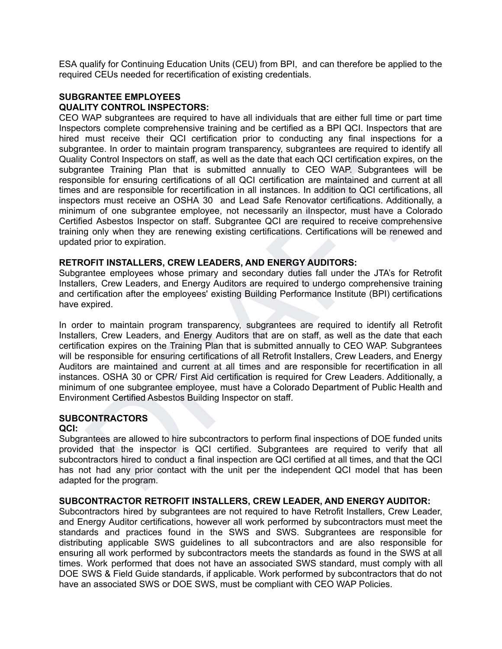ESA qualify for Continuing Education Units (CEU) from BPI, and can therefore be applied to the required CEUs needed for recertification of existing credentials.

### **SUBGRANTEE EMPLOYEES QUALITY CONTROL INSPECTORS:**

y Control Inspectors on staff, as well as the date that each chat Co certification expires. on the<br>since Training Plan that it is submitted annually to CEO WAP. Subgrantees will be<br>since for ensuring certifications of all CEO WAP subgrantees are required to have all individuals that are either full time or part time Inspectors complete comprehensive training and be certified as a BPI QCI. Inspectors that are hired must receive their QCI certification prior to conducting any final inspections for a subgrantee. In order to maintain program transparency, subgrantees are required to identify all Quality Control Inspectors on staff, as well as the date that each QCI certification expires, on the subgrantee Training Plan that is submitted annually to CEO WAP. Subgrantees will be responsible for ensuring certifications of all QCI certification are maintained and current at all times and are responsible for recertification in all instances. In addition to QCI certifications, all inspectors must receive an OSHA 30 and Lead Safe Renovator certifications. Additionally, a minimum of one subgrantee employee, not necessarily an iInspector, must have a Colorado Certified Asbestos Inspector on staff. Subgrantee QCI are required to receive comprehensive training only when they are renewing existing certifications. Certifications will be renewed and updated prior to expiration.

### **RETROFIT INSTALLERS, CREW LEADERS, AND ENERGY AUDITORS:**

Subgrantee employees whose primary and secondary duties fall under the JTA's for Retrofit Installers, Crew Leaders, and Energy Auditors are required to undergo comprehensive training and certification after the employees' existing Building Performance Institute (BPI) certifications have expired.

In order to maintain program transparency, subgrantees are required to identify all Retrofit Installers, Crew Leaders, and Energy Auditors that are on staff, as well as the date that each certification expires on the Training Plan that is submitted annually to CEO WAP. Subgrantees will be responsible for ensuring certifications of all Retrofit Installers, Crew Leaders, and Energy Auditors are maintained and current at all times and are responsible for recertification in all instances. OSHA 30 or CPR/ First Aid certification is required for Crew Leaders. Additionally, a minimum of one subgrantee employee, must have a Colorado Department of Public Health and Environment Certified Asbestos Building Inspector on staff.

# **SUBCONTRACTORS**

#### **QCI:**

Subgrantees are allowed to hire subcontractors to perform final inspections of DOE funded units provided that the inspector is QCI certified. Subgrantees are required to verify that all subcontractors hired to conduct a final inspection are QCI certified at all times, and that the QCI has not had any prior contact with the unit per the independent QCI model that has been adapted for the program.

### **SUBCONTRACTOR RETROFIT INSTALLERS, CREW LEADER, AND ENERGY AUDITOR:**

Subcontractors hired by subgrantees are not required to have Retrofit Installers, Crew Leader, and Energy Auditor certifications, however all work performed by subcontractors must meet the standards and practices found in the SWS and SWS. Subgrantees are responsible for distributing applicable SWS guidelines to all subcontractors and are also responsible for ensuring all work performed by subcontractors meets the standards as found in the SWS at all times. Work performed that does not have an associated SWS standard, must comply with all DOE SWS & Field Guide standards, if applicable. Work performed by subcontractors that do not have an associated SWS or DOE SWS, must be compliant with CEO WAP Policies.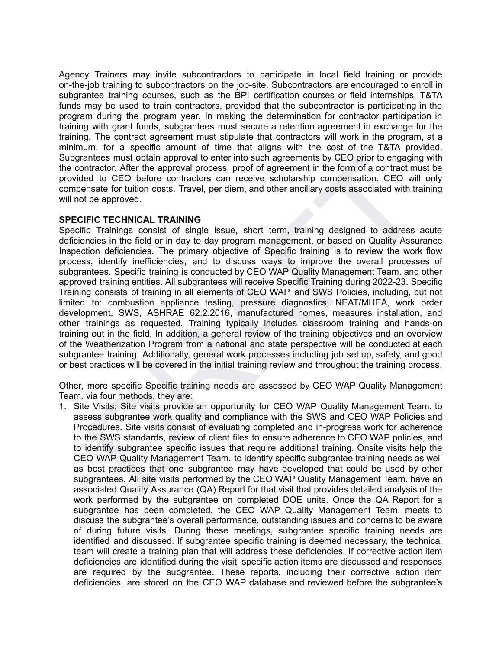Agency Trainers may invite subcontractors to participate in local field training or provide on-the-job training to subcontractors on the job-site. Subcontractors are encouraged to enroll in subgrantee training courses, such as the BPI certification courses or field internships. T&TA funds may be used to train contractors, provided that the subcontractor is participating in the program during the program year. In making the determination for contractor participation in training with grant funds, subgrantees must secure a retention agreement in exchange for the training. The contract agreement must stipulate that contractors will work in the program, at a minimum, for a specific amount of time that aligns with the cost of the T&TA provided. Subgrantees must obtain approval to enter into such agreements by CEO prior to engaging with the contractor. After the approval process, proof of agreement in the form of a contract must be provided to CEO before contractors can receive scholarship compensation. CEO will only compensate for tuition costs. Travel, per diem, and other ancillary costs associated with training will not be approved.

### **SPECIFIC TECHNICAL TRAINING**

anters must obtain approval to ener in to such agreements by CEO prior to energaing with<br>ntractor. After the approval process, proof of agreement in the form of a contract must be<br>ed to CEO before contractors can receive s Specific Trainings consist of single issue, short term, training designed to address acute deficiencies in the field or in day to day program management, or based on Quality Assurance Inspection deficiencies. The primary objective of Specific training is to review the work flow process, identify inefficiencies, and to discuss ways to improve the overall processes of subgrantees. Specific training is conducted by CEO WAP Quality Management Team. and other approved training entities. All subgrantees will receive Specific Training during 2022-23. Specific Training consists of training in all elements of CEO WAP, and SWS Policies, including, but not limited to: combustion appliance testing, pressure diagnostics, NEAT/MHEA, work order development, SWS, ASHRAE 62.2.2016, manufactured homes, measures installation, and other trainings as requested. Training typically includes classroom training and hands-on training out in the field. In addition, a general review of the training objectives and an overview of the Weatherization Program from a national and state perspective will be conducted at each subgrantee training. Additionally, general work processes including job set up, safety, and good or best practices will be covered in the initial training review and throughout the training process.

Other, more specific Specific training needs are assessed by CEO WAP Quality Management Team. via four methods, they are:

1. Site Visits: Site visits provide an opportunity for CEO WAP Quality Management Team. to assess subgrantee work quality and compliance with the SWS and CEO WAP Policies and Procedures. Site visits consist of evaluating completed and in-progress work for adherence to the SWS standards, review of client files to ensure adherence to CEO WAP policies, and to identify subgrantee specific issues that require additional training. Onsite visits help the CEO WAP Quality Management Team. to identify specific subgrantee training needs as well as best practices that one subgrantee may have developed that could be used by other subgrantees. All site visits performed by the CEO WAP Quality Management Team. have an associated Quality Assurance (QA) Report for that visit that provides detailed analysis of the work performed by the subgrantee on completed DOE units. Once the QA Report for a subgrantee has been completed, the CEO WAP Quality Management Team. meets to discuss the subgrantee's overall performance, outstanding issues and concerns to be aware of during future visits. During these meetings, subgrantee specific training needs are identified and discussed. If subgrantee specific training is deemed necessary, the technical team will create a training plan that will address these deficiencies. If corrective action item deficiencies are identified during the visit, specific action items are discussed and responses are required by the subgrantee. These reports, including their corrective action item deficiencies, are stored on the CEO WAP database and reviewed before the subgrantee's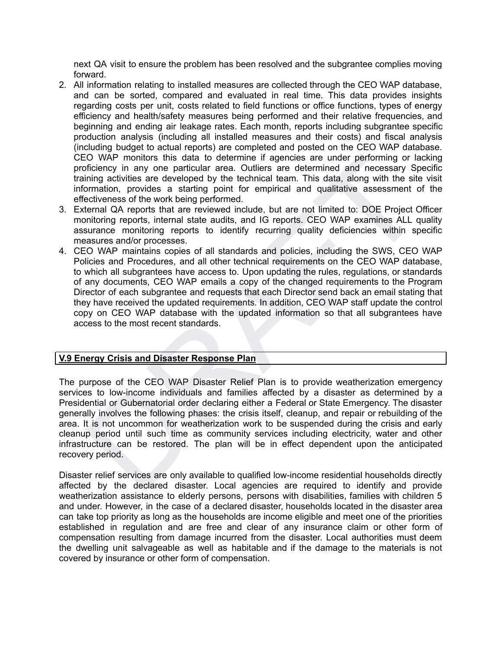next QA visit to ensure the problem has been resolved and the subgrantee complies moving forward.

- 2. All information relating to installed measures are collected through the CEO WAP database, and can be sorted, compared and evaluated in real time. This data provides insights regarding costs per unit, costs related to field functions or office functions, types of energy efficiency and health/safety measures being performed and their relative frequencies, and beginning and ending air leakage rates. Each month, reports including subgrantee specific production analysis (including all installed measures and their costs) and fiscal analysis (including budget to actual reports) are completed and posted on the CEO WAP database. CEO WAP monitors this data to determine if agencies are under performing or lacking proficiency in any one particular area. Outliers are determined and necessary Specific training activities are developed by the technical team. This data, along with the site visit information, provides a starting point for empirical and qualitative assessment of the effectiveness of the work being performed.
- 3. External QA reports that are reviewed include, but are not limited to: DOE Project Officer monitoring reports, internal state audits, and IG reports. CEO WAP examines ALL quality assurance monitoring reports to identify recurring quality deficiencies within specific measures and/or processes.
- FO WAP monitors this data to determine if agencies are under performing or lacking<br>of ciency in any one particular area. Outliers are determined and necessary Specific<br>intrigractivities are developed by the technical team. 4. CEO WAP maintains copies of all standards and policies, including the SWS, CEO WAP Policies and Procedures, and all other technical requirements on the CEO WAP database, to which all subgrantees have access to. Upon updating the rules, regulations, or standards of any documents, CEO WAP emails a copy of the changed requirements to the Program Director of each subgrantee and requests that each Director send back an email stating that they have received the updated requirements. In addition, CEO WAP staff update the control copy on CEO WAP database with the updated information so that all subgrantees have access to the most recent standards.

# **V.9 Energy Crisis and Disaster Response Plan**

The purpose of the CEO WAP Disaster Relief Plan is to provide weatherization emergency services to low-income individuals and families affected by a disaster as determined by a Presidential or Gubernatorial order declaring either a Federal or State Emergency. The disaster generally involves the following phases: the crisis itself, cleanup, and repair or rebuilding of the area. It is not uncommon for weatherization work to be suspended during the crisis and early cleanup period until such time as community services including electricity, water and other infrastructure can be restored. The plan will be in effect dependent upon the anticipated recovery period.

Disaster relief services are only available to qualified low-income residential households directly affected by the declared disaster. Local agencies are required to identify and provide weatherization assistance to elderly persons, persons with disabilities, families with children 5 and under. However, in the case of a declared disaster, households located in the disaster area can take top priority as long as the households are income eligible and meet one of the priorities established in regulation and are free and clear of any insurance claim or other form of compensation resulting from damage incurred from the disaster. Local authorities must deem the dwelling unit salvageable as well as habitable and if the damage to the materials is not covered by insurance or other form of compensation.